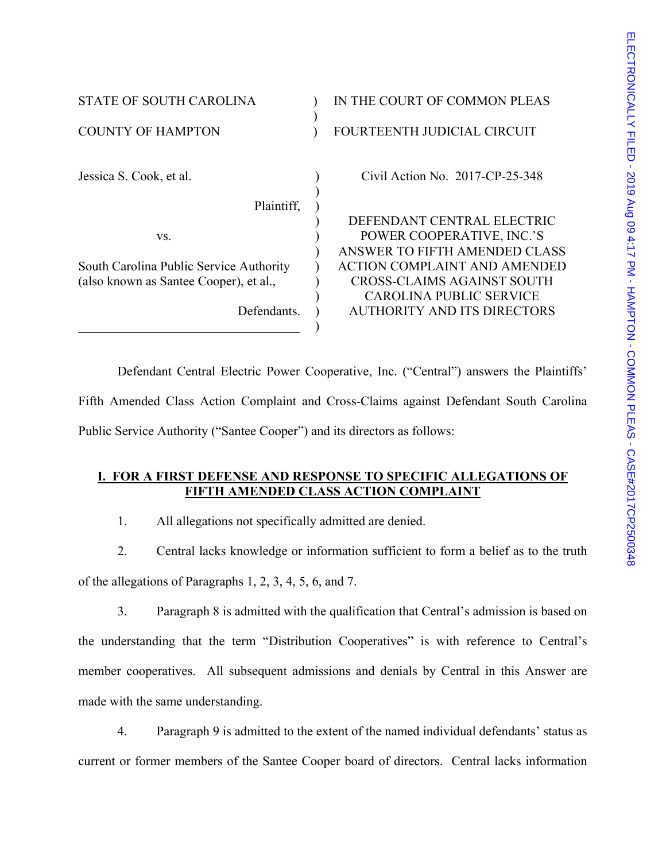| <b>STATE OF SOUTH CAROLINA</b>          | IN THE COURT OF COMMON PLEAS        |
|-----------------------------------------|-------------------------------------|
| <b>COUNTY OF HAMPTON</b>                | FOURTEENTH JUDICIAL CIRCUIT         |
| Jessica S. Cook, et al.                 | Civil Action No. $2017$ -CP-25-348  |
| Plaintiff,                              |                                     |
|                                         | DEFENDANT CENTRAL ELECTRIC          |
| VS.                                     | POWER COOPERATIVE, INC.'S           |
|                                         | ANSWER TO FIFTH AMENDED CLASS       |
| South Carolina Public Service Authority | <b>ACTION COMPLAINT AND AMENDED</b> |
| (also known as Santee Cooper), et al.,  | <b>CROSS-CLAIMS AGAINST SOUTH</b>   |
|                                         | CAROLINA PUBLIC SERVICE             |
| Defendants.                             | AUTHORITY AND ITS DIRECTORS         |
|                                         |                                     |

 Defendant Central Electric Power Cooperative, Inc. ("Central") answers the Plaintiffs' Fifth Amended Class Action Complaint and Cross-Claims against Defendant South Carolina Public Service Authority ("Santee Cooper") and its directors as follows:

## **I. FOR A FIRST DEFENSE AND RESPONSE TO SPECIFIC ALLEGATIONS OF FIFTH AMENDED CLASS ACTION COMPLAINT**

1. All allegations not specifically admitted are denied.

2. Central lacks knowledge or information sufficient to form a belief as to the truth of the allegations of Paragraphs 1, 2, 3, 4, 5, 6, and 7.

3. Paragraph 8 is admitted with the qualification that Central's admission is based on the understanding that the term "Distribution Cooperatives" is with reference to Central's member cooperatives. All subsequent admissions and denials by Central in this Answer are made with the same understanding.

4. Paragraph 9 is admitted to the extent of the named individual defendants' status as current or former members of the Santee Cooper board of directors. Central lacks information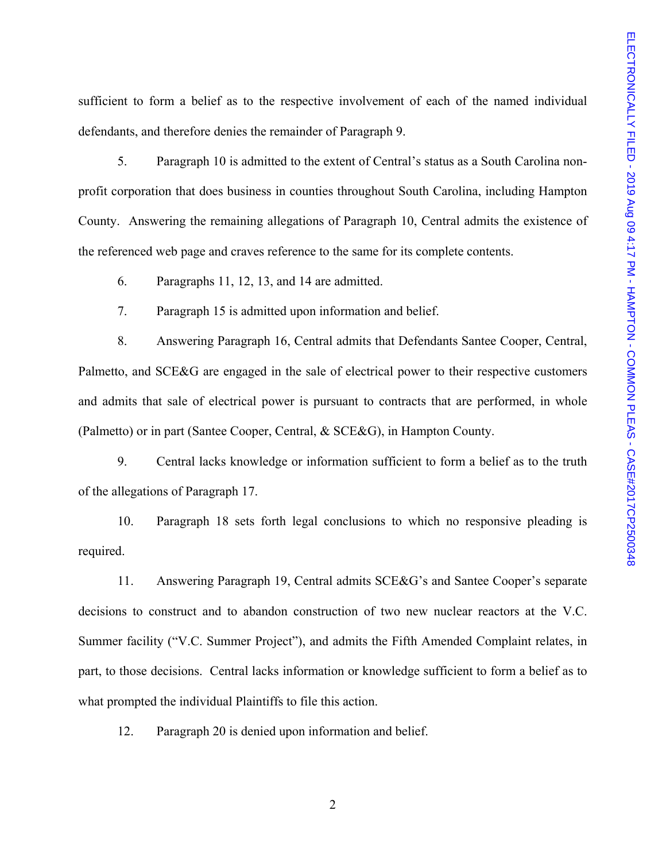sufficient to form a belief as to the respective involvement of each of the named individual defendants, and therefore denies the remainder of Paragraph 9.

5. Paragraph 10 is admitted to the extent of Central's status as a South Carolina nonprofit corporation that does business in counties throughout South Carolina, including Hampton County. Answering the remaining allegations of Paragraph 10, Central admits the existence of the referenced web page and craves reference to the same for its complete contents.

6. Paragraphs 11, 12, 13, and 14 are admitted.

7. Paragraph 15 is admitted upon information and belief.

8. Answering Paragraph 16, Central admits that Defendants Santee Cooper, Central, Palmetto, and SCE&G are engaged in the sale of electrical power to their respective customers and admits that sale of electrical power is pursuant to contracts that are performed, in whole (Palmetto) or in part (Santee Cooper, Central, & SCE&G), in Hampton County.

9. Central lacks knowledge or information sufficient to form a belief as to the truth of the allegations of Paragraph 17.

10. Paragraph 18 sets forth legal conclusions to which no responsive pleading is required.

11. Answering Paragraph 19, Central admits SCE&G's and Santee Cooper's separate decisions to construct and to abandon construction of two new nuclear reactors at the V.C. Summer facility ("V.C. Summer Project"), and admits the Fifth Amended Complaint relates, in part, to those decisions. Central lacks information or knowledge sufficient to form a belief as to what prompted the individual Plaintiffs to file this action.

12. Paragraph 20 is denied upon information and belief.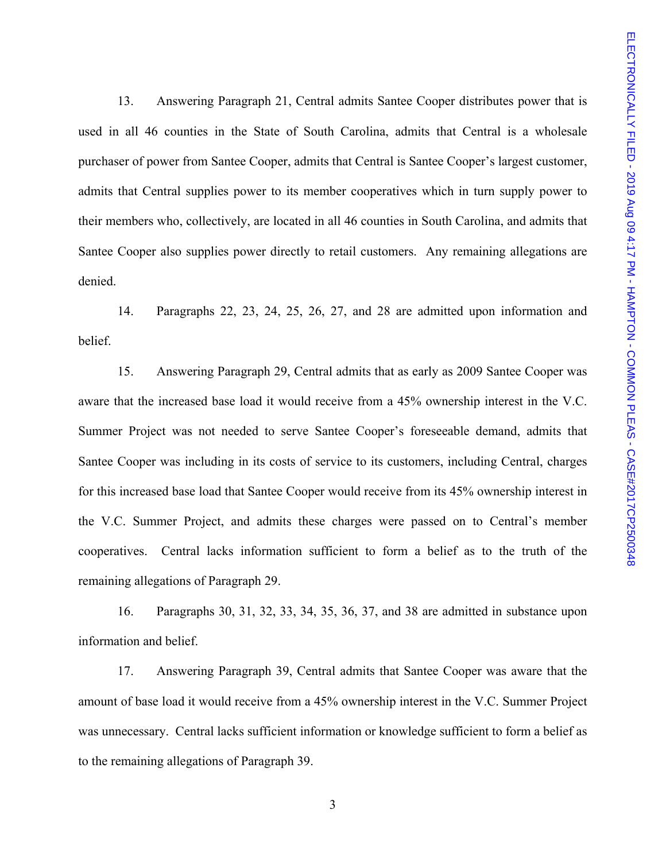13. Answering Paragraph 21, Central admits Santee Cooper distributes power that is used in all 46 counties in the State of South Carolina, admits that Central is a wholesale purchaser of power from Santee Cooper, admits that Central is Santee Cooper's largest customer, admits that Central supplies power to its member cooperatives which in turn supply power to their members who, collectively, are located in all 46 counties in South Carolina, and admits that Santee Cooper also supplies power directly to retail customers. Any remaining allegations are denied.

14. Paragraphs 22, 23, 24, 25, 26, 27, and 28 are admitted upon information and belief.

15. Answering Paragraph 29, Central admits that as early as 2009 Santee Cooper was aware that the increased base load it would receive from a 45% ownership interest in the V.C. Summer Project was not needed to serve Santee Cooper's foreseeable demand, admits that Santee Cooper was including in its costs of service to its customers, including Central, charges for this increased base load that Santee Cooper would receive from its 45% ownership interest in the V.C. Summer Project, and admits these charges were passed on to Central's member cooperatives. Central lacks information sufficient to form a belief as to the truth of the remaining allegations of Paragraph 29.

16. Paragraphs 30, 31, 32, 33, 34, 35, 36, 37, and 38 are admitted in substance upon information and belief.

17. Answering Paragraph 39, Central admits that Santee Cooper was aware that the amount of base load it would receive from a 45% ownership interest in the V.C. Summer Project was unnecessary. Central lacks sufficient information or knowledge sufficient to form a belief as to the remaining allegations of Paragraph 39.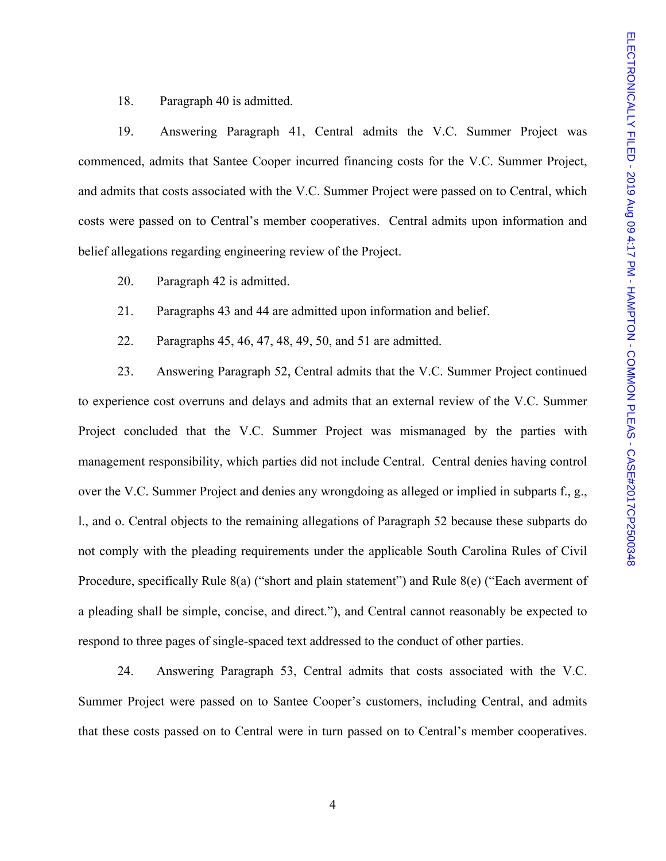18. Paragraph 40 is admitted.

19. Answering Paragraph 41, Central admits the V.C. Summer Project was commenced, admits that Santee Cooper incurred financing costs for the V.C. Summer Project, and admits that costs associated with the V.C. Summer Project were passed on to Central, which costs were passed on to Central's member cooperatives. Central admits upon information and belief allegations regarding engineering review of the Project.

20. Paragraph 42 is admitted.

21. Paragraphs 43 and 44 are admitted upon information and belief.

22. Paragraphs 45, 46, 47, 48, 49, 50, and 51 are admitted.

23. Answering Paragraph 52, Central admits that the V.C. Summer Project continued to experience cost overruns and delays and admits that an external review of the V.C. Summer Project concluded that the V.C. Summer Project was mismanaged by the parties with management responsibility, which parties did not include Central. Central denies having control over the V.C. Summer Project and denies any wrongdoing as alleged or implied in subparts f., g., l., and o. Central objects to the remaining allegations of Paragraph 52 because these subparts do not comply with the pleading requirements under the applicable South Carolina Rules of Civil Procedure, specifically Rule 8(a) ("short and plain statement") and Rule 8(e) ("Each averment of a pleading shall be simple, concise, and direct."), and Central cannot reasonably be expected to respond to three pages of single-spaced text addressed to the conduct of other parties.

24. Answering Paragraph 53, Central admits that costs associated with the V.C. Summer Project were passed on to Santee Cooper's customers, including Central, and admits that these costs passed on to Central were in turn passed on to Central's member cooperatives.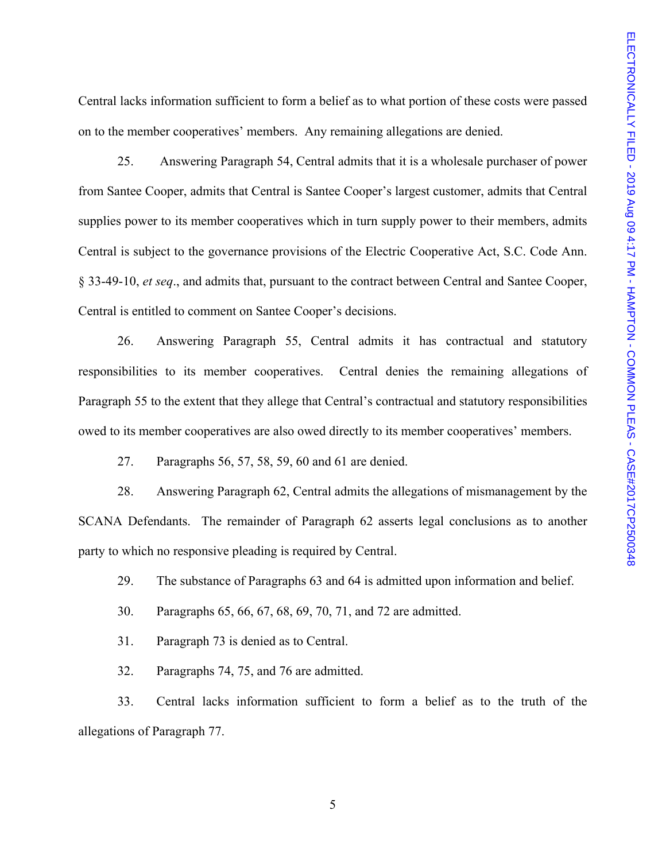Central lacks information sufficient to form a belief as to what portion of these costs were passed on to the member cooperatives' members. Any remaining allegations are denied.

25. Answering Paragraph 54, Central admits that it is a wholesale purchaser of power from Santee Cooper, admits that Central is Santee Cooper's largest customer, admits that Central supplies power to its member cooperatives which in turn supply power to their members, admits Central is subject to the governance provisions of the Electric Cooperative Act, S.C. Code Ann. § 33-49-10, *et seq*., and admits that, pursuant to the contract between Central and Santee Cooper, Central is entitled to comment on Santee Cooper's decisions.

26. Answering Paragraph 55, Central admits it has contractual and statutory responsibilities to its member cooperatives. Central denies the remaining allegations of Paragraph 55 to the extent that they allege that Central's contractual and statutory responsibilities owed to its member cooperatives are also owed directly to its member cooperatives' members.

27. Paragraphs 56, 57, 58, 59, 60 and 61 are denied.

28. Answering Paragraph 62, Central admits the allegations of mismanagement by the SCANA Defendants. The remainder of Paragraph 62 asserts legal conclusions as to another party to which no responsive pleading is required by Central.

29. The substance of Paragraphs 63 and 64 is admitted upon information and belief.

30. Paragraphs 65, 66, 67, 68, 69, 70, 71, and 72 are admitted.

31. Paragraph 73 is denied as to Central.

32. Paragraphs 74, 75, and 76 are admitted.

33. Central lacks information sufficient to form a belief as to the truth of the allegations of Paragraph 77.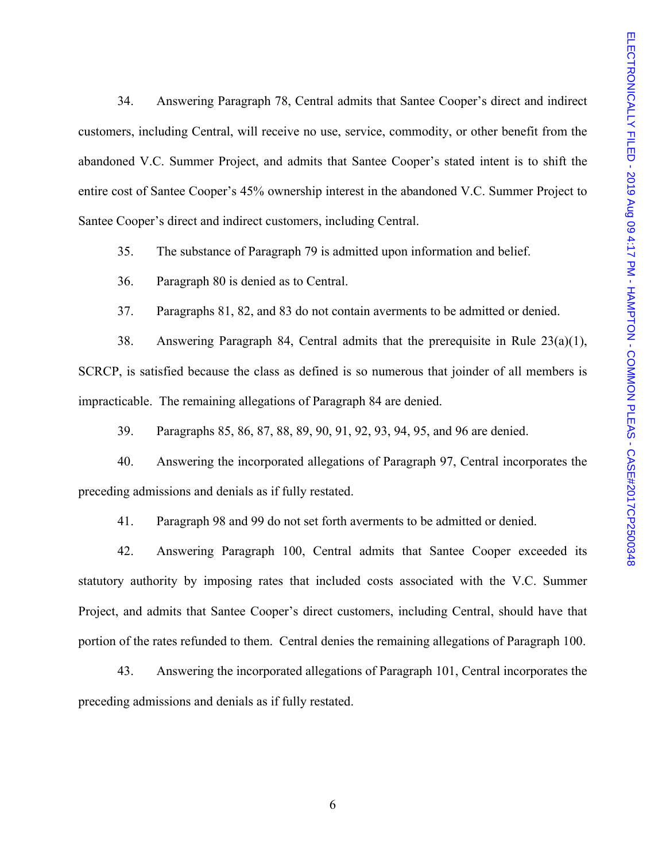34. Answering Paragraph 78, Central admits that Santee Cooper's direct and indirect customers, including Central, will receive no use, service, commodity, or other benefit from the abandoned V.C. Summer Project, and admits that Santee Cooper's stated intent is to shift the entire cost of Santee Cooper's 45% ownership interest in the abandoned V.C. Summer Project to Santee Cooper's direct and indirect customers, including Central.

35. The substance of Paragraph 79 is admitted upon information and belief.

36. Paragraph 80 is denied as to Central.

37. Paragraphs 81, 82, and 83 do not contain averments to be admitted or denied.

38. Answering Paragraph 84, Central admits that the prerequisite in Rule 23(a)(1), SCRCP, is satisfied because the class as defined is so numerous that joinder of all members is impracticable. The remaining allegations of Paragraph 84 are denied.

39. Paragraphs 85, 86, 87, 88, 89, 90, 91, 92, 93, 94, 95, and 96 are denied.

40. Answering the incorporated allegations of Paragraph 97, Central incorporates the preceding admissions and denials as if fully restated.

41. Paragraph 98 and 99 do not set forth averments to be admitted or denied.

42. Answering Paragraph 100, Central admits that Santee Cooper exceeded its statutory authority by imposing rates that included costs associated with the V.C. Summer Project, and admits that Santee Cooper's direct customers, including Central, should have that portion of the rates refunded to them. Central denies the remaining allegations of Paragraph 100.

43. Answering the incorporated allegations of Paragraph 101, Central incorporates the preceding admissions and denials as if fully restated.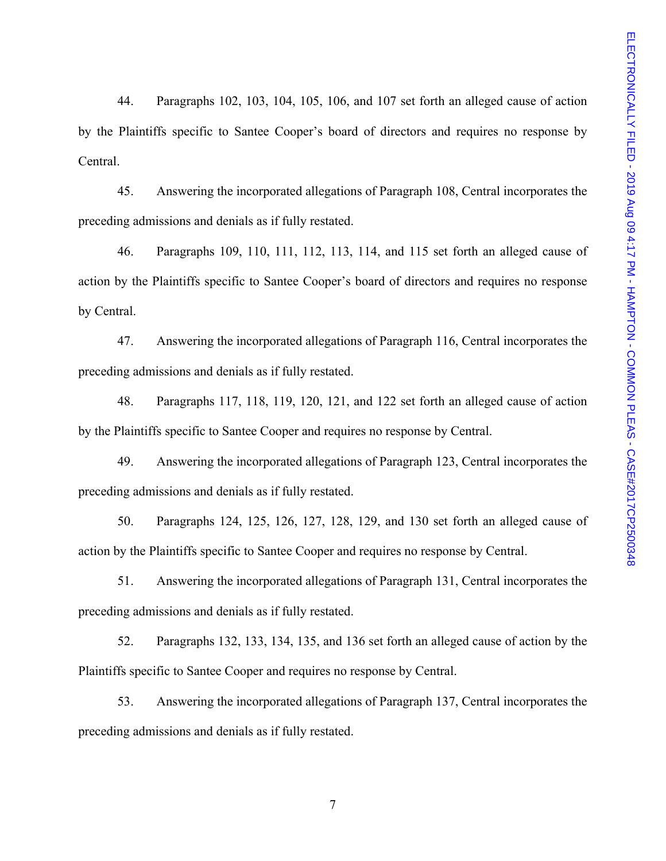44. Paragraphs 102, 103, 104, 105, 106, and 107 set forth an alleged cause of action by the Plaintiffs specific to Santee Cooper's board of directors and requires no response by Central.

45. Answering the incorporated allegations of Paragraph 108, Central incorporates the preceding admissions and denials as if fully restated.

46. Paragraphs 109, 110, 111, 112, 113, 114, and 115 set forth an alleged cause of action by the Plaintiffs specific to Santee Cooper's board of directors and requires no response by Central.

47. Answering the incorporated allegations of Paragraph 116, Central incorporates the preceding admissions and denials as if fully restated.

48. Paragraphs 117, 118, 119, 120, 121, and 122 set forth an alleged cause of action by the Plaintiffs specific to Santee Cooper and requires no response by Central.

49. Answering the incorporated allegations of Paragraph 123, Central incorporates the preceding admissions and denials as if fully restated.

50. Paragraphs 124, 125, 126, 127, 128, 129, and 130 set forth an alleged cause of action by the Plaintiffs specific to Santee Cooper and requires no response by Central.

51. Answering the incorporated allegations of Paragraph 131, Central incorporates the preceding admissions and denials as if fully restated.

52. Paragraphs 132, 133, 134, 135, and 136 set forth an alleged cause of action by the Plaintiffs specific to Santee Cooper and requires no response by Central.

53. Answering the incorporated allegations of Paragraph 137, Central incorporates the preceding admissions and denials as if fully restated.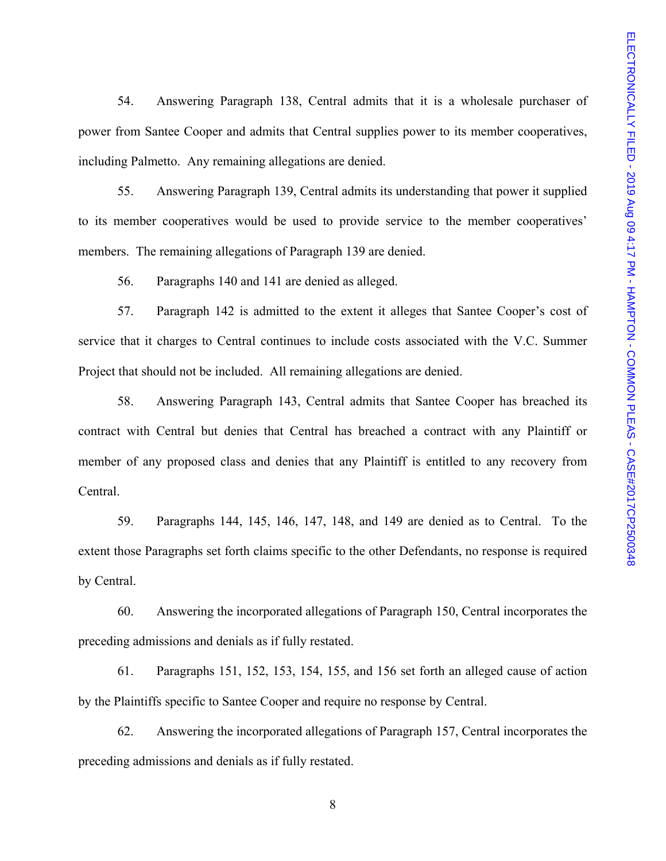54. Answering Paragraph 138, Central admits that it is a wholesale purchaser of power from Santee Cooper and admits that Central supplies power to its member cooperatives, including Palmetto. Any remaining allegations are denied.

55. Answering Paragraph 139, Central admits its understanding that power it supplied to its member cooperatives would be used to provide service to the member cooperatives' members. The remaining allegations of Paragraph 139 are denied.

56. Paragraphs 140 and 141 are denied as alleged.

57. Paragraph 142 is admitted to the extent it alleges that Santee Cooper's cost of service that it charges to Central continues to include costs associated with the V.C. Summer Project that should not be included. All remaining allegations are denied.

58. Answering Paragraph 143, Central admits that Santee Cooper has breached its contract with Central but denies that Central has breached a contract with any Plaintiff or member of any proposed class and denies that any Plaintiff is entitled to any recovery from Central.

59. Paragraphs 144, 145, 146, 147, 148, and 149 are denied as to Central. To the extent those Paragraphs set forth claims specific to the other Defendants, no response is required by Central.

60. Answering the incorporated allegations of Paragraph 150, Central incorporates the preceding admissions and denials as if fully restated.

61. Paragraphs 151, 152, 153, 154, 155, and 156 set forth an alleged cause of action by the Plaintiffs specific to Santee Cooper and require no response by Central.

62. Answering the incorporated allegations of Paragraph 157, Central incorporates the preceding admissions and denials as if fully restated.

8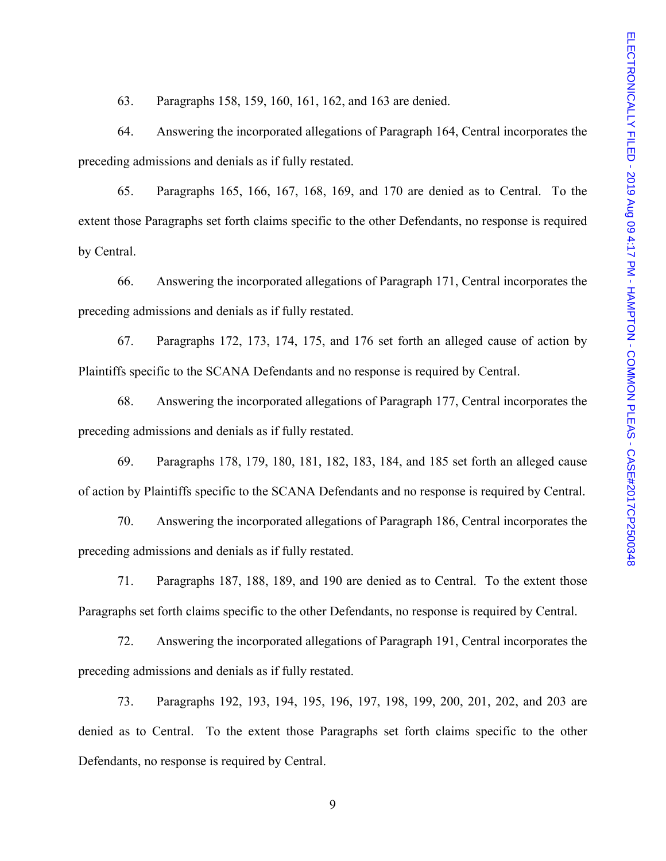63. Paragraphs 158, 159, 160, 161, 162, and 163 are denied.

64. Answering the incorporated allegations of Paragraph 164, Central incorporates the preceding admissions and denials as if fully restated.

65. Paragraphs 165, 166, 167, 168, 169, and 170 are denied as to Central. To the extent those Paragraphs set forth claims specific to the other Defendants, no response is required by Central.

66. Answering the incorporated allegations of Paragraph 171, Central incorporates the preceding admissions and denials as if fully restated.

67. Paragraphs 172, 173, 174, 175, and 176 set forth an alleged cause of action by Plaintiffs specific to the SCANA Defendants and no response is required by Central.

68. Answering the incorporated allegations of Paragraph 177, Central incorporates the preceding admissions and denials as if fully restated.

69. Paragraphs 178, 179, 180, 181, 182, 183, 184, and 185 set forth an alleged cause of action by Plaintiffs specific to the SCANA Defendants and no response is required by Central.

70. Answering the incorporated allegations of Paragraph 186, Central incorporates the preceding admissions and denials as if fully restated.

71. Paragraphs 187, 188, 189, and 190 are denied as to Central. To the extent those Paragraphs set forth claims specific to the other Defendants, no response is required by Central.

72. Answering the incorporated allegations of Paragraph 191, Central incorporates the preceding admissions and denials as if fully restated.

73. Paragraphs 192, 193, 194, 195, 196, 197, 198, 199, 200, 201, 202, and 203 are denied as to Central. To the extent those Paragraphs set forth claims specific to the other Defendants, no response is required by Central.

9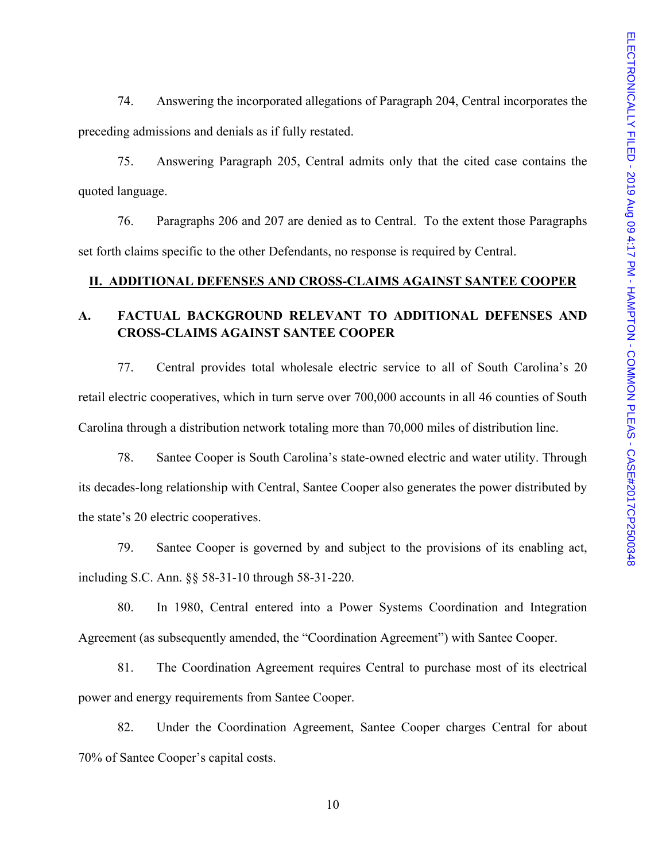74. Answering the incorporated allegations of Paragraph 204, Central incorporates the preceding admissions and denials as if fully restated.

75. Answering Paragraph 205, Central admits only that the cited case contains the quoted language.

76. Paragraphs 206 and 207 are denied as to Central. To the extent those Paragraphs set forth claims specific to the other Defendants, no response is required by Central.

### **II. ADDITIONAL DEFENSES AND CROSS-CLAIMS AGAINST SANTEE COOPER**

## **A. FACTUAL BACKGROUND RELEVANT TO ADDITIONAL DEFENSES AND CROSS-CLAIMS AGAINST SANTEE COOPER**

77. Central provides total wholesale electric service to all of South Carolina's 20 retail electric cooperatives, which in turn serve over 700,000 accounts in all 46 counties of South Carolina through a distribution network totaling more than 70,000 miles of distribution line.

78. Santee Cooper is South Carolina's state-owned electric and water utility. Through its decades-long relationship with Central, Santee Cooper also generates the power distributed by the state's 20 electric cooperatives.

79. Santee Cooper is governed by and subject to the provisions of its enabling act, including S.C. Ann. §§ 58-31-10 through 58-31-220.

80. In 1980, Central entered into a Power Systems Coordination and Integration Agreement (as subsequently amended, the "Coordination Agreement") with Santee Cooper.

81. The Coordination Agreement requires Central to purchase most of its electrical power and energy requirements from Santee Cooper.

82. Under the Coordination Agreement, Santee Cooper charges Central for about 70% of Santee Cooper's capital costs.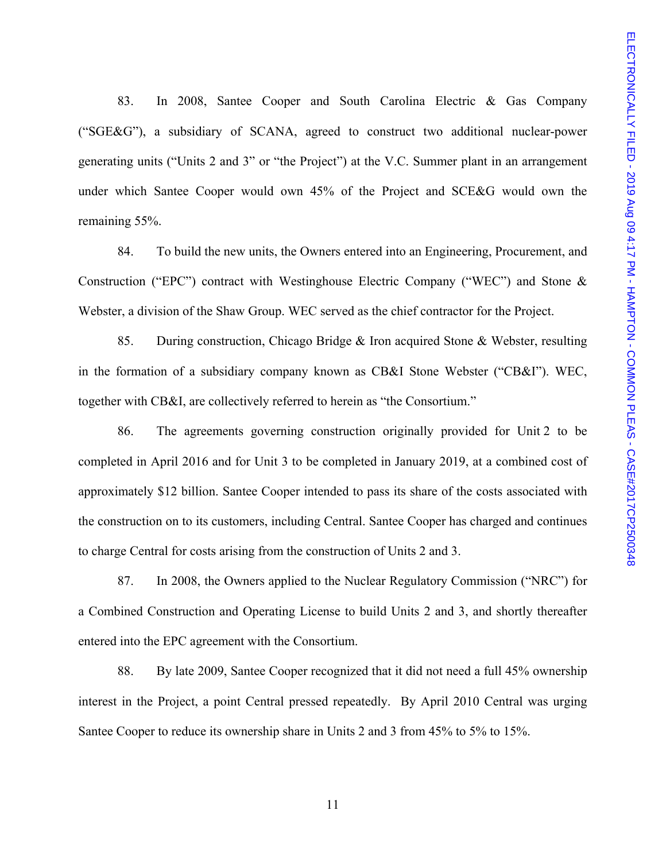83. In 2008, Santee Cooper and South Carolina Electric & Gas Company ("SGE&G"), a subsidiary of SCANA, agreed to construct two additional nuclear-power generating units ("Units 2 and 3" or "the Project") at the V.C. Summer plant in an arrangement under which Santee Cooper would own 45% of the Project and SCE&G would own the remaining 55%.

84. To build the new units, the Owners entered into an Engineering, Procurement, and Construction ("EPC") contract with Westinghouse Electric Company ("WEC") and Stone & Webster, a division of the Shaw Group. WEC served as the chief contractor for the Project.

85. During construction, Chicago Bridge & Iron acquired Stone & Webster, resulting in the formation of a subsidiary company known as CB&I Stone Webster ("CB&I"). WEC, together with CB&I, are collectively referred to herein as "the Consortium."

86. The agreements governing construction originally provided for Unit 2 to be completed in April 2016 and for Unit 3 to be completed in January 2019, at a combined cost of approximately \$12 billion. Santee Cooper intended to pass its share of the costs associated with the construction on to its customers, including Central. Santee Cooper has charged and continues to charge Central for costs arising from the construction of Units 2 and 3.

87. In 2008, the Owners applied to the Nuclear Regulatory Commission ("NRC") for a Combined Construction and Operating License to build Units 2 and 3, and shortly thereafter entered into the EPC agreement with the Consortium.

88. By late 2009, Santee Cooper recognized that it did not need a full 45% ownership interest in the Project, a point Central pressed repeatedly. By April 2010 Central was urging Santee Cooper to reduce its ownership share in Units 2 and 3 from 45% to 5% to 15%.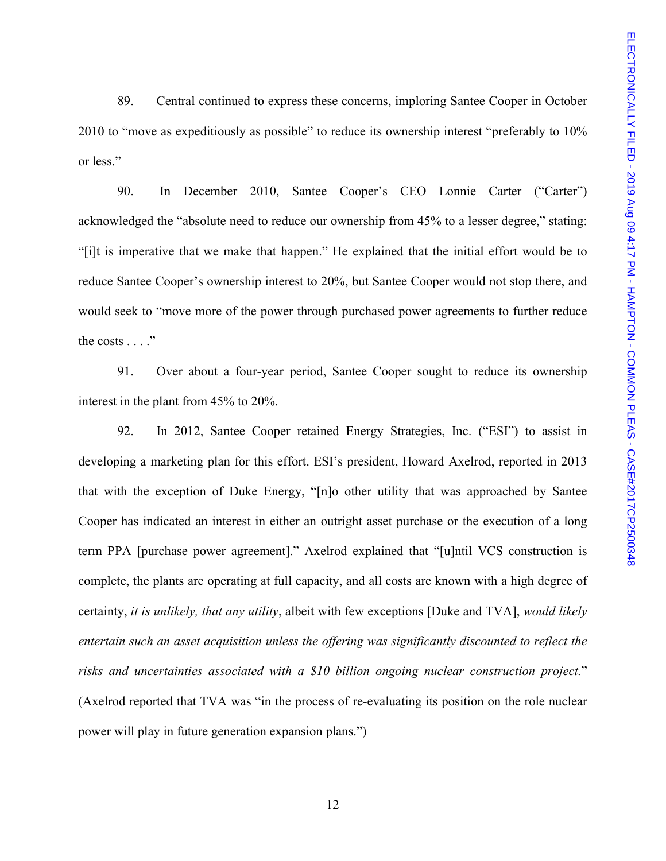89. Central continued to express these concerns, imploring Santee Cooper in October 2010 to "move as expeditiously as possible" to reduce its ownership interest "preferably to 10% or less."

90. In December 2010, Santee Cooper's CEO Lonnie Carter ("Carter") acknowledged the "absolute need to reduce our ownership from 45% to a lesser degree," stating: "[i]t is imperative that we make that happen." He explained that the initial effort would be to reduce Santee Cooper's ownership interest to 20%, but Santee Cooper would not stop there, and would seek to "move more of the power through purchased power agreements to further reduce the costs . . . ."

91. Over about a four-year period, Santee Cooper sought to reduce its ownership interest in the plant from 45% to 20%.

92. In 2012, Santee Cooper retained Energy Strategies, Inc. ("ESI") to assist in developing a marketing plan for this effort. ESI's president, Howard Axelrod, reported in 2013 that with the exception of Duke Energy, "[n]o other utility that was approached by Santee Cooper has indicated an interest in either an outright asset purchase or the execution of a long term PPA [purchase power agreement]." Axelrod explained that "[u]ntil VCS construction is complete, the plants are operating at full capacity, and all costs are known with a high degree of certainty, *it is unlikely, that any utility*, albeit with few exceptions [Duke and TVA], *would likely entertain such an asset acquisition unless the offering was significantly discounted to reflect the risks and uncertainties associated with a \$10 billion ongoing nuclear construction project.*" (Axelrod reported that TVA was "in the process of re-evaluating its position on the role nuclear power will play in future generation expansion plans.")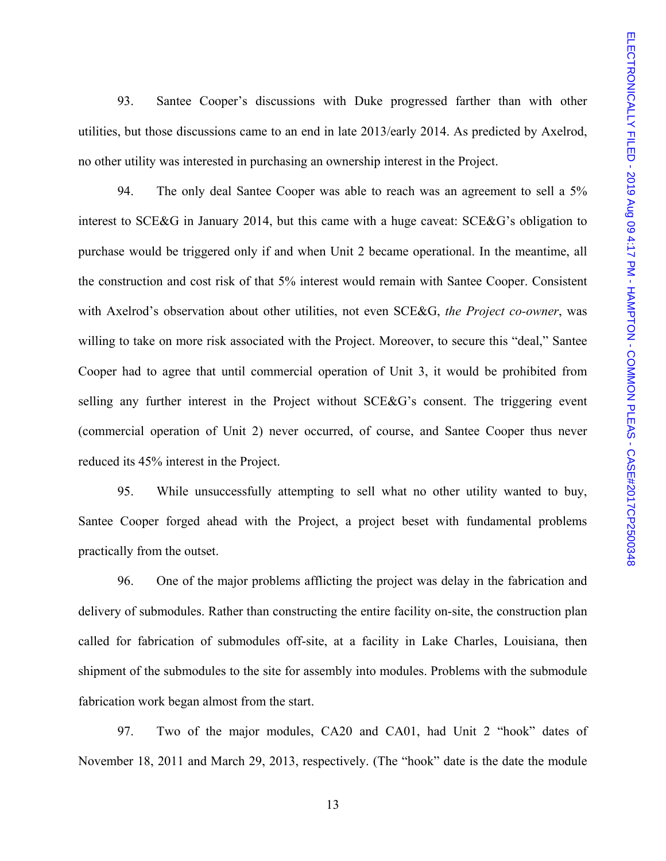93. Santee Cooper's discussions with Duke progressed farther than with other utilities, but those discussions came to an end in late 2013/early 2014. As predicted by Axelrod, no other utility was interested in purchasing an ownership interest in the Project.

94. The only deal Santee Cooper was able to reach was an agreement to sell a 5% interest to SCE&G in January 2014, but this came with a huge caveat: SCE&G's obligation to purchase would be triggered only if and when Unit 2 became operational. In the meantime, all the construction and cost risk of that 5% interest would remain with Santee Cooper. Consistent with Axelrod's observation about other utilities, not even SCE&G, *the Project co-owner*, was willing to take on more risk associated with the Project. Moreover, to secure this "deal," Santee Cooper had to agree that until commercial operation of Unit 3, it would be prohibited from selling any further interest in the Project without SCE&G's consent. The triggering event (commercial operation of Unit 2) never occurred, of course, and Santee Cooper thus never reduced its 45% interest in the Project.

95. While unsuccessfully attempting to sell what no other utility wanted to buy, Santee Cooper forged ahead with the Project, a project beset with fundamental problems practically from the outset.

96. One of the major problems afflicting the project was delay in the fabrication and delivery of submodules. Rather than constructing the entire facility on-site, the construction plan called for fabrication of submodules off-site, at a facility in Lake Charles, Louisiana, then shipment of the submodules to the site for assembly into modules. Problems with the submodule fabrication work began almost from the start.

97. Two of the major modules, CA20 and CA01, had Unit 2 "hook" dates of November 18, 2011 and March 29, 2013, respectively. (The "hook" date is the date the module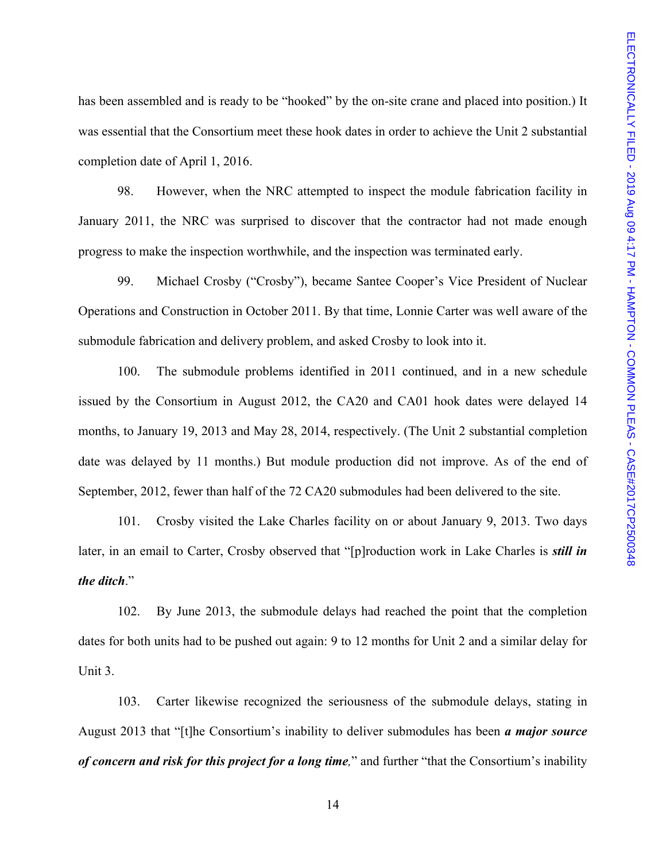has been assembled and is ready to be "hooked" by the on-site crane and placed into position.) It was essential that the Consortium meet these hook dates in order to achieve the Unit 2 substantial completion date of April 1, 2016.

98. However, when the NRC attempted to inspect the module fabrication facility in January 2011, the NRC was surprised to discover that the contractor had not made enough progress to make the inspection worthwhile, and the inspection was terminated early.

99. Michael Crosby ("Crosby"), became Santee Cooper's Vice President of Nuclear Operations and Construction in October 2011. By that time, Lonnie Carter was well aware of the submodule fabrication and delivery problem, and asked Crosby to look into it.

100. The submodule problems identified in 2011 continued, and in a new schedule issued by the Consortium in August 2012, the CA20 and CA01 hook dates were delayed 14 months, to January 19, 2013 and May 28, 2014, respectively. (The Unit 2 substantial completion date was delayed by 11 months.) But module production did not improve. As of the end of September, 2012, fewer than half of the 72 CA20 submodules had been delivered to the site.

101. Crosby visited the Lake Charles facility on or about January 9, 2013. Two days later, in an email to Carter, Crosby observed that "[p]roduction work in Lake Charles is *still in the ditch*."

102. By June 2013, the submodule delays had reached the point that the completion dates for both units had to be pushed out again: 9 to 12 months for Unit 2 and a similar delay for Unit 3.

103. Carter likewise recognized the seriousness of the submodule delays, stating in August 2013 that "[t]he Consortium's inability to deliver submodules has been *a major source of concern and risk for this project for a long time,*" and further "that the Consortium's inability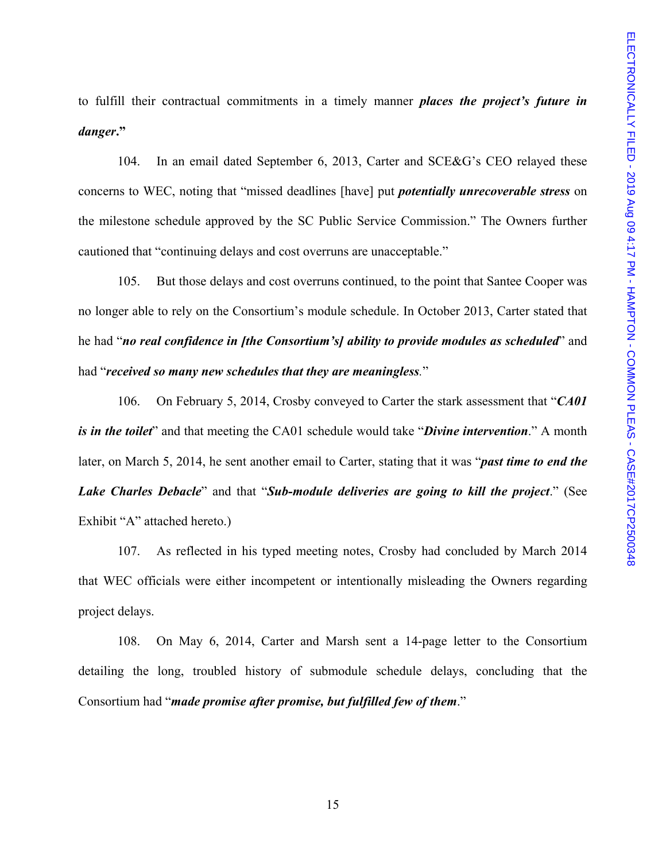to fulfill their contractual commitments in a timely manner *places the project's future in danger***."** 

104. In an email dated September 6, 2013, Carter and SCE&G's CEO relayed these concerns to WEC, noting that "missed deadlines [have] put *potentially unrecoverable stress* on the milestone schedule approved by the SC Public Service Commission." The Owners further cautioned that "continuing delays and cost overruns are unacceptable."

105. But those delays and cost overruns continued, to the point that Santee Cooper was no longer able to rely on the Consortium's module schedule. In October 2013, Carter stated that he had "*no real confidence in [the Consortium's] ability to provide modules as scheduled*" and had "*received so many new schedules that they are meaningless.*"

106. On February 5, 2014, Crosby conveyed to Carter the stark assessment that "*CA01 is in the toilet*" and that meeting the CA01 schedule would take "*Divine intervention*." A month later, on March 5, 2014, he sent another email to Carter, stating that it was "*past time to end the Lake Charles Debacle*" and that "*Sub-module deliveries are going to kill the project*." (See Exhibit "A" attached hereto.)

107. As reflected in his typed meeting notes, Crosby had concluded by March 2014 that WEC officials were either incompetent or intentionally misleading the Owners regarding project delays.

108. On May 6, 2014, Carter and Marsh sent a 14-page letter to the Consortium detailing the long, troubled history of submodule schedule delays, concluding that the Consortium had "*made promise after promise, but fulfilled few of them*."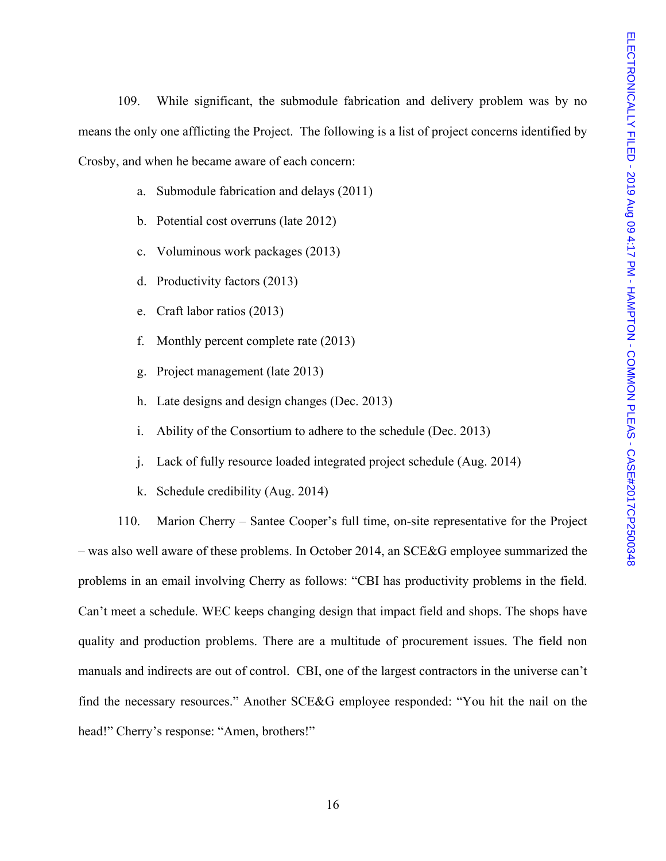109. While significant, the submodule fabrication and delivery problem was by no means the only one afflicting the Project. The following is a list of project concerns identified by Crosby, and when he became aware of each concern:

- a. Submodule fabrication and delays (2011)
- b. Potential cost overruns (late 2012)
- c. Voluminous work packages (2013)
- d. Productivity factors (2013)
- e. Craft labor ratios (2013)
- f. Monthly percent complete rate (2013)
- g. Project management (late 2013)
- h. Late designs and design changes (Dec. 2013)
- i. Ability of the Consortium to adhere to the schedule (Dec. 2013)
- j. Lack of fully resource loaded integrated project schedule (Aug. 2014)
- k. Schedule credibility (Aug. 2014)

110. Marion Cherry – Santee Cooper's full time, on-site representative for the Project – was also well aware of these problems. In October 2014, an SCE&G employee summarized the problems in an email involving Cherry as follows: "CBI has productivity problems in the field. Can't meet a schedule. WEC keeps changing design that impact field and shops. The shops have quality and production problems. There are a multitude of procurement issues. The field non manuals and indirects are out of control. CBI, one of the largest contractors in the universe can't find the necessary resources." Another SCE&G employee responded: "You hit the nail on the head!" Cherry's response: "Amen, brothers!"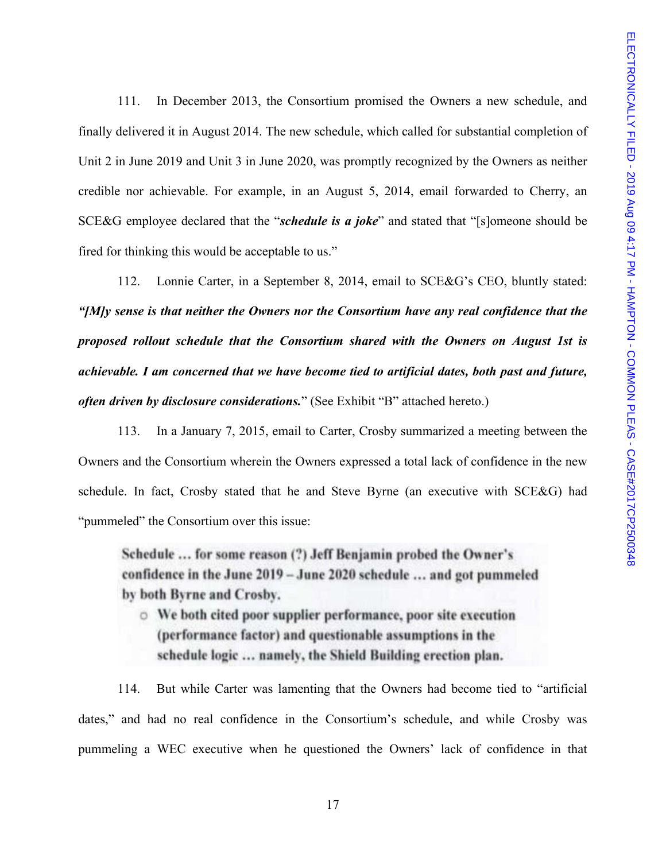111. In December 2013, the Consortium promised the Owners a new schedule, and finally delivered it in August 2014. The new schedule, which called for substantial completion of Unit 2 in June 2019 and Unit 3 in June 2020, was promptly recognized by the Owners as neither credible nor achievable. For example, in an August 5, 2014, email forwarded to Cherry, an SCE&G employee declared that the "*schedule is a joke*" and stated that "[s]omeone should be fired for thinking this would be acceptable to us."

112. Lonnie Carter, in a September 8, 2014, email to SCE&G's CEO, bluntly stated: *"[M]y sense is that neither the Owners nor the Consortium have any real confidence that the proposed rollout schedule that the Consortium shared with the Owners on August 1st is achievable. I am concerned that we have become tied to artificial dates, both past and future, often driven by disclosure considerations.*" (See Exhibit "B" attached hereto.)

113. In a January 7, 2015, email to Carter, Crosby summarized a meeting between the Owners and the Consortium wherein the Owners expressed a total lack of confidence in the new schedule. In fact, Crosby stated that he and Steve Byrne (an executive with SCE&G) had "pummeled" the Consortium over this issue:

Schedule ... for some reason (?) Jeff Benjamin probed the Owner's confidence in the June 2019 - June 2020 schedule ... and got pummeled by both Byrne and Crosby.

○ We both cited poor supplier performance, poor site execution (performance factor) and questionable assumptions in the schedule logic ... namely, the Shield Building erection plan.

114. But while Carter was lamenting that the Owners had become tied to "artificial dates," and had no real confidence in the Consortium's schedule, and while Crosby was pummeling a WEC executive when he questioned the Owners' lack of confidence in that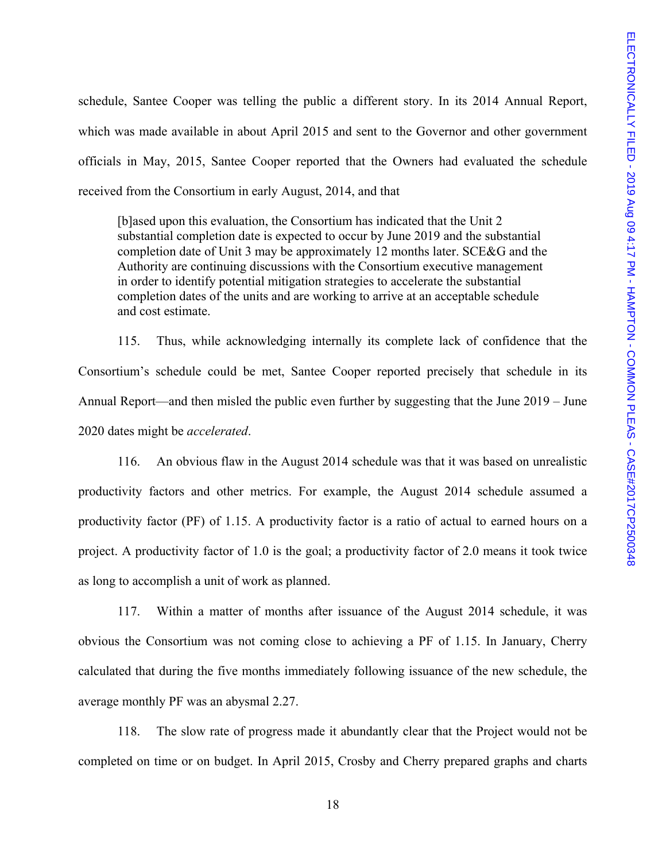schedule, Santee Cooper was telling the public a different story. In its 2014 Annual Report, which was made available in about April 2015 and sent to the Governor and other government officials in May, 2015, Santee Cooper reported that the Owners had evaluated the schedule received from the Consortium in early August, 2014, and that

[b]ased upon this evaluation, the Consortium has indicated that the Unit 2 substantial completion date is expected to occur by June 2019 and the substantial completion date of Unit 3 may be approximately 12 months later. SCE&G and the Authority are continuing discussions with the Consortium executive management in order to identify potential mitigation strategies to accelerate the substantial completion dates of the units and are working to arrive at an acceptable schedule and cost estimate.

115. Thus, while acknowledging internally its complete lack of confidence that the Consortium's schedule could be met, Santee Cooper reported precisely that schedule in its Annual Report—and then misled the public even further by suggesting that the June 2019 – June 2020 dates might be *accelerated*.

116. An obvious flaw in the August 2014 schedule was that it was based on unrealistic productivity factors and other metrics. For example, the August 2014 schedule assumed a productivity factor (PF) of 1.15. A productivity factor is a ratio of actual to earned hours on a project. A productivity factor of 1.0 is the goal; a productivity factor of 2.0 means it took twice as long to accomplish a unit of work as planned.

117. Within a matter of months after issuance of the August 2014 schedule, it was obvious the Consortium was not coming close to achieving a PF of 1.15. In January, Cherry calculated that during the five months immediately following issuance of the new schedule, the average monthly PF was an abysmal 2.27.

118. The slow rate of progress made it abundantly clear that the Project would not be completed on time or on budget. In April 2015, Crosby and Cherry prepared graphs and charts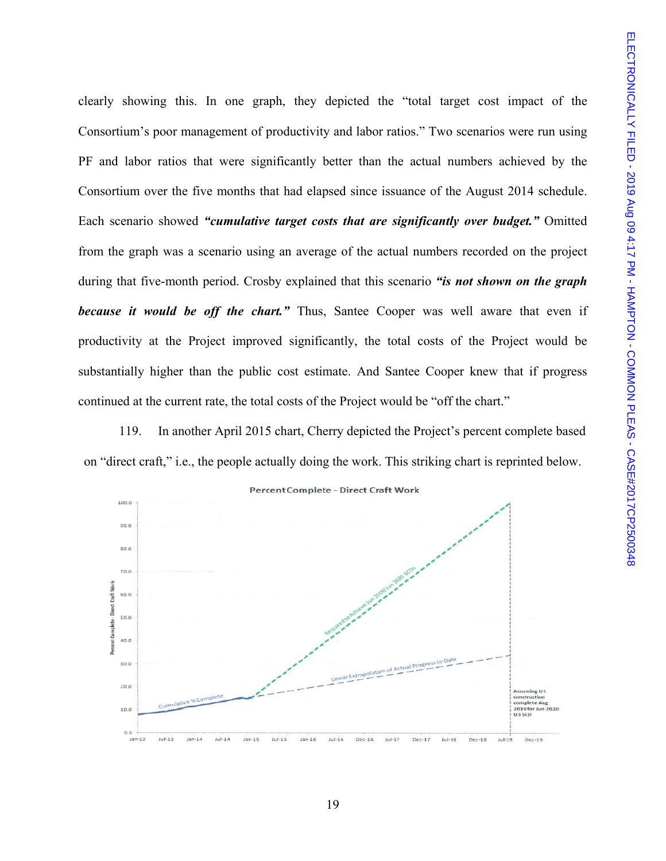clearly showing this. In one graph, they depicted the "total target cost impact of the Consortium's poor management of productivity and labor ratios." Two scenarios were run using PF and labor ratios that were significantly better than the actual numbers achieved by the Consortium over the five months that had elapsed since issuance of the August 2014 schedule. Each scenario showed *"cumulative target costs that are significantly over budget."* Omitted from the graph was a scenario using an average of the actual numbers recorded on the project during that five-month period. Crosby explained that this scenario *"is not shown on the graph because it would be off the chart."* Thus, Santee Cooper was well aware that even if productivity at the Project improved significantly, the total costs of the Project would be substantially higher than the public cost estimate. And Santee Cooper knew that if progress continued at the current rate, the total costs of the Project would be "off the chart."

119. In another April 2015 chart, Cherry depicted the Project's percent complete based on "direct craft," i.e., the people actually doing the work. This striking chart is reprinted below.

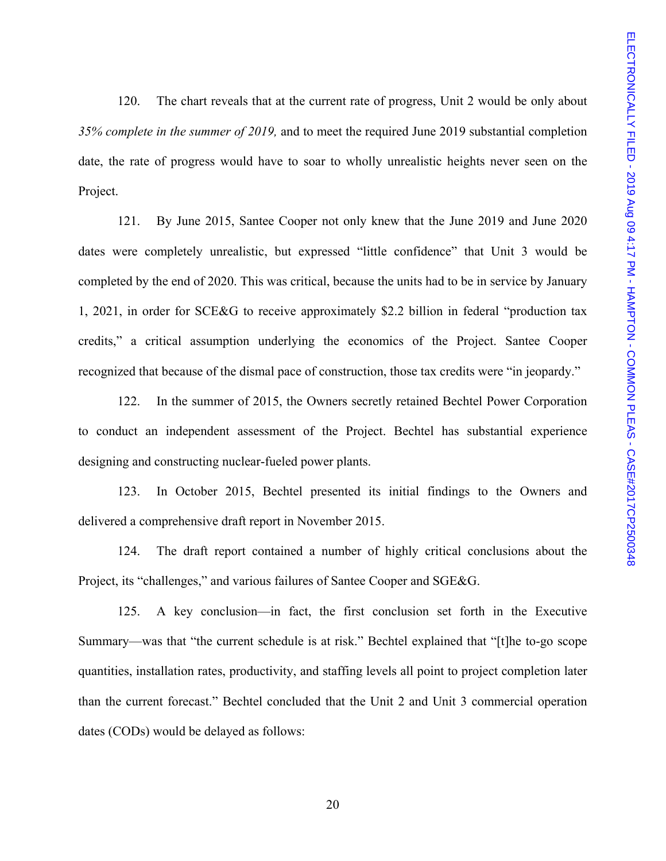120. The chart reveals that at the current rate of progress, Unit 2 would be only about *35% complete in the summer of 2019,* and to meet the required June 2019 substantial completion date, the rate of progress would have to soar to wholly unrealistic heights never seen on the Project.

121. By June 2015, Santee Cooper not only knew that the June 2019 and June 2020 dates were completely unrealistic, but expressed "little confidence" that Unit 3 would be completed by the end of 2020. This was critical, because the units had to be in service by January 1, 2021, in order for SCE&G to receive approximately \$2.2 billion in federal "production tax credits," a critical assumption underlying the economics of the Project. Santee Cooper recognized that because of the dismal pace of construction, those tax credits were "in jeopardy."

122. In the summer of 2015, the Owners secretly retained Bechtel Power Corporation to conduct an independent assessment of the Project. Bechtel has substantial experience designing and constructing nuclear-fueled power plants.

123. In October 2015, Bechtel presented its initial findings to the Owners and delivered a comprehensive draft report in November 2015.

124. The draft report contained a number of highly critical conclusions about the Project, its "challenges," and various failures of Santee Cooper and SGE&G.

125. A key conclusion—in fact, the first conclusion set forth in the Executive Summary—was that "the current schedule is at risk." Bechtel explained that "[t]he to-go scope quantities, installation rates, productivity, and staffing levels all point to project completion later than the current forecast." Bechtel concluded that the Unit 2 and Unit 3 commercial operation dates (CODs) would be delayed as follows: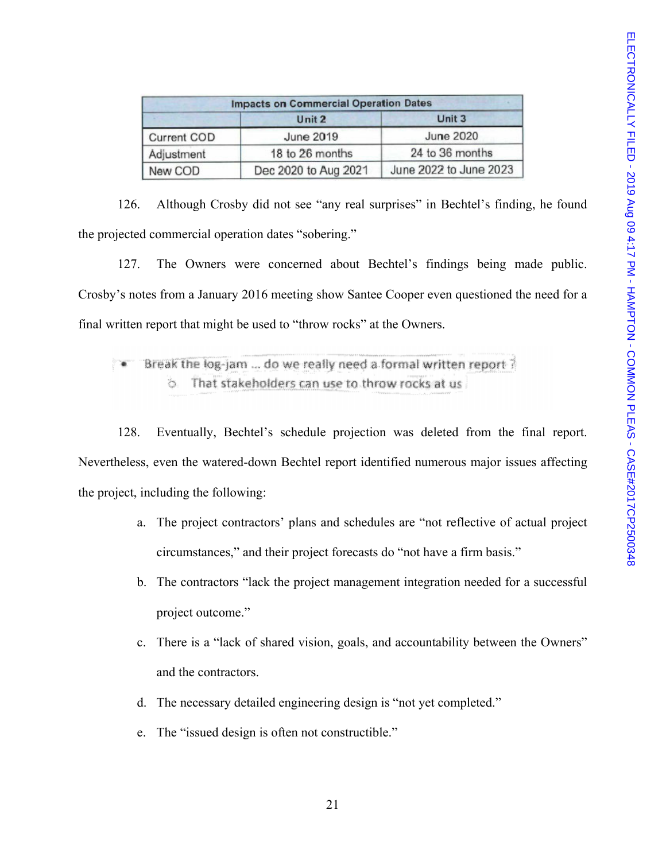| <b>Impacts on Commercial Operation Dates</b> |                      |                        |  |
|----------------------------------------------|----------------------|------------------------|--|
|                                              | Unit 2               | Unit 3                 |  |
| <b>Current COD</b>                           | June 2019            | <b>June 2020</b>       |  |
| Adjustment                                   | 18 to 26 months      | 24 to 36 months        |  |
| New COD                                      | Dec 2020 to Aug 2021 | June 2022 to June 2023 |  |

126. Although Crosby did not see "any real surprises" in Bechtel's finding, he found the projected commercial operation dates "sobering."

127. The Owners were concerned about Bechtel's findings being made public. Crosby's notes from a January 2016 meeting show Santee Cooper even questioned the need for a final written report that might be used to "throw rocks" at the Owners.

Break the log-jam ... do we really need a formal written report ? That stakeholders can use to throw rocks at us

128. Eventually, Bechtel's schedule projection was deleted from the final report. Nevertheless, even the watered-down Bechtel report identified numerous major issues affecting the project, including the following:

- a. The project contractors' plans and schedules are "not reflective of actual project circumstances," and their project forecasts do "not have a firm basis."
- b. The contractors "lack the project management integration needed for a successful project outcome."
- c. There is a "lack of shared vision, goals, and accountability between the Owners" and the contractors.
- d. The necessary detailed engineering design is "not yet completed."
- e. The "issued design is often not constructible."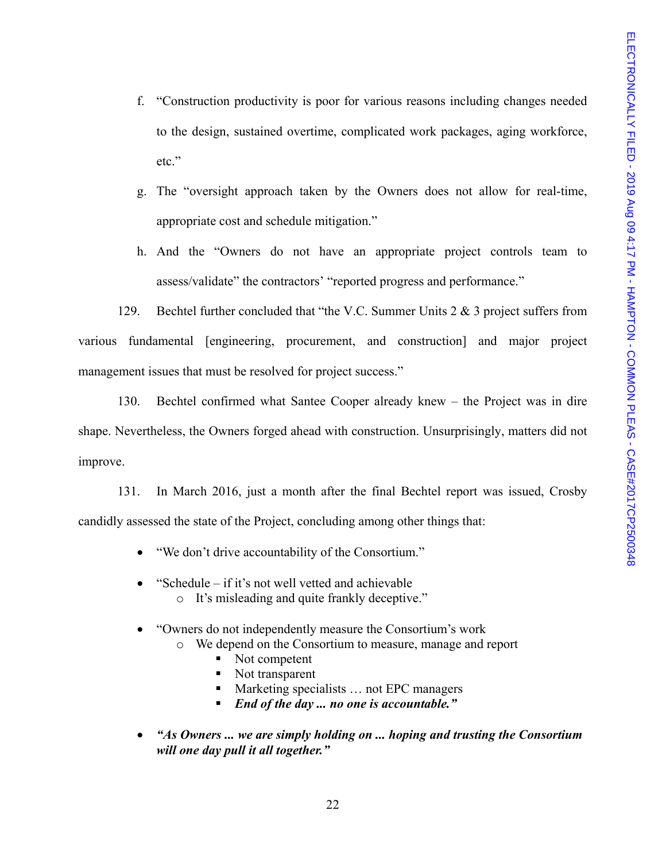- f. "Construction productivity is poor for various reasons including changes needed to the design, sustained overtime, complicated work packages, aging workforce, etc."
- g. The "oversight approach taken by the Owners does not allow for real-time, appropriate cost and schedule mitigation."
- h. And the "Owners do not have an appropriate project controls team to assess/validate" the contractors' "reported progress and performance."

129. Bechtel further concluded that "the V.C. Summer Units 2 & 3 project suffers from various fundamental [engineering, procurement, and construction] and major project management issues that must be resolved for project success."

130. Bechtel confirmed what Santee Cooper already knew – the Project was in dire shape. Nevertheless, the Owners forged ahead with construction. Unsurprisingly, matters did not improve.

131. In March 2016, just a month after the final Bechtel report was issued, Crosby candidly assessed the state of the Project, concluding among other things that:

- "We don't drive accountability of the Consortium."
- "Schedule if it's not well vetted and achievable o It's misleading and quite frankly deceptive."
- "Owners do not independently measure the Consortium's work
	- o We depend on the Consortium to measure, manage and report
		- Not competent
		- Not transparent
		- Marketing specialists … not EPC managers
		- *End of the day ... no one is accountable."*
- *"As Owners ... we are simply holding on ... hoping and trusting the Consortium will one day pull it all together."*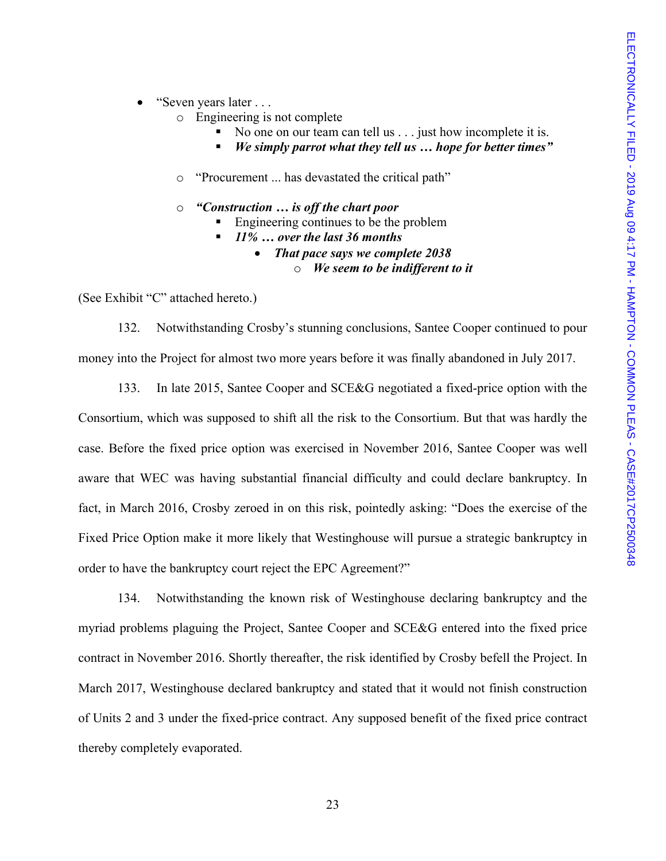#### • "Seven years later . . .

- o Engineering is not complete
	- No one on our team can tell us . . . just how incomplete it is.
	- *We simply parrot what they tell us … hope for better times"*
- o "Procurement ... has devastated the critical path"
- o *"Construction … is off the chart poor* 
	- Engineering continues to be the problem
	- *11% … over the last 36 months* 
		- *That pace says we complete 2038*  o *We seem to be indifferent to it*

(See Exhibit "C" attached hereto.)

132. Notwithstanding Crosby's stunning conclusions, Santee Cooper continued to pour money into the Project for almost two more years before it was finally abandoned in July 2017.

133. In late 2015, Santee Cooper and SCE&G negotiated a fixed-price option with the Consortium, which was supposed to shift all the risk to the Consortium. But that was hardly the case. Before the fixed price option was exercised in November 2016, Santee Cooper was well aware that WEC was having substantial financial difficulty and could declare bankruptcy. In fact, in March 2016, Crosby zeroed in on this risk, pointedly asking: "Does the exercise of the Fixed Price Option make it more likely that Westinghouse will pursue a strategic bankruptcy in order to have the bankruptcy court reject the EPC Agreement?"

134. Notwithstanding the known risk of Westinghouse declaring bankruptcy and the myriad problems plaguing the Project, Santee Cooper and SCE&G entered into the fixed price contract in November 2016. Shortly thereafter, the risk identified by Crosby befell the Project. In March 2017, Westinghouse declared bankruptcy and stated that it would not finish construction of Units 2 and 3 under the fixed-price contract. Any supposed benefit of the fixed price contract thereby completely evaporated.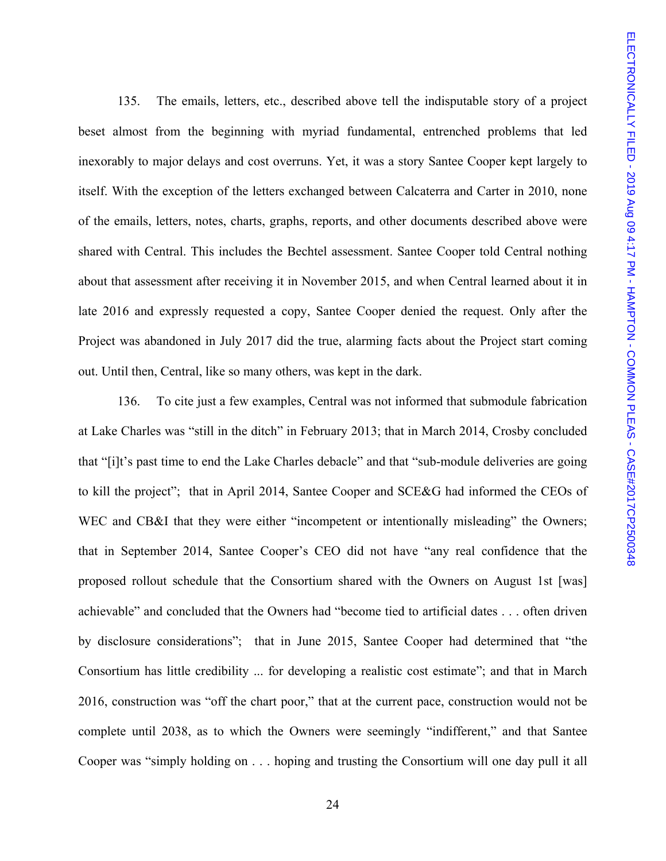135. The emails, letters, etc., described above tell the indisputable story of a project beset almost from the beginning with myriad fundamental, entrenched problems that led inexorably to major delays and cost overruns. Yet, it was a story Santee Cooper kept largely to itself. With the exception of the letters exchanged between Calcaterra and Carter in 2010, none of the emails, letters, notes, charts, graphs, reports, and other documents described above were shared with Central. This includes the Bechtel assessment. Santee Cooper told Central nothing about that assessment after receiving it in November 2015, and when Central learned about it in late 2016 and expressly requested a copy, Santee Cooper denied the request. Only after the Project was abandoned in July 2017 did the true, alarming facts about the Project start coming out. Until then, Central, like so many others, was kept in the dark.

136. To cite just a few examples, Central was not informed that submodule fabrication at Lake Charles was "still in the ditch" in February 2013; that in March 2014, Crosby concluded that "[i]t's past time to end the Lake Charles debacle" and that "sub-module deliveries are going to kill the project"; that in April 2014, Santee Cooper and SCE&G had informed the CEOs of WEC and CB&I that they were either "incompetent or intentionally misleading" the Owners; that in September 2014, Santee Cooper's CEO did not have "any real confidence that the proposed rollout schedule that the Consortium shared with the Owners on August 1st [was] achievable" and concluded that the Owners had "become tied to artificial dates . . . often driven by disclosure considerations"; that in June 2015, Santee Cooper had determined that "the Consortium has little credibility ... for developing a realistic cost estimate"; and that in March 2016, construction was "off the chart poor," that at the current pace, construction would not be complete until 2038, as to which the Owners were seemingly "indifferent," and that Santee Cooper was "simply holding on . . . hoping and trusting the Consortium will one day pull it all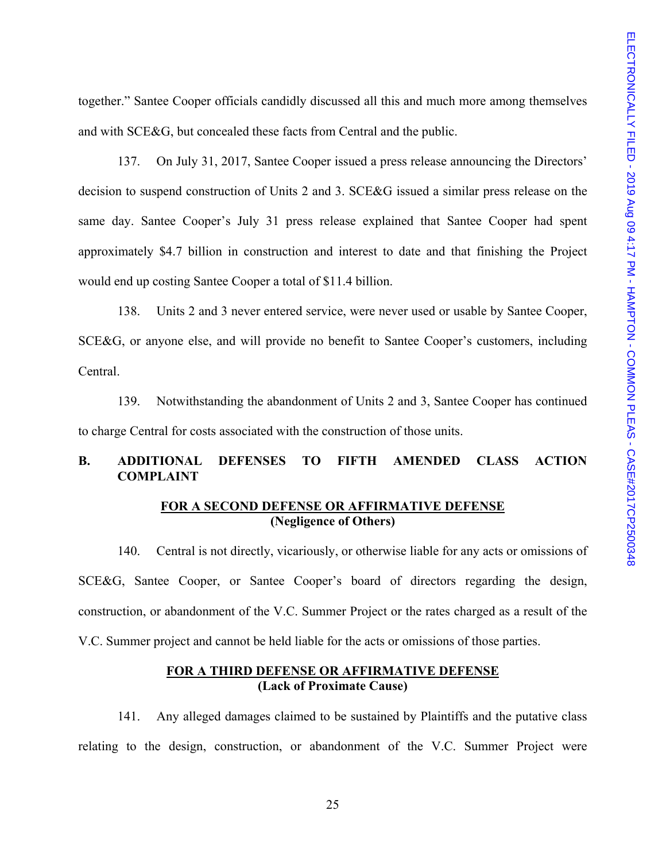together." Santee Cooper officials candidly discussed all this and much more among themselves and with SCE&G, but concealed these facts from Central and the public.

137. On July 31, 2017, Santee Cooper issued a press release announcing the Directors' decision to suspend construction of Units 2 and 3. SCE&G issued a similar press release on the same day. Santee Cooper's July 31 press release explained that Santee Cooper had spent approximately \$4.7 billion in construction and interest to date and that finishing the Project would end up costing Santee Cooper a total of \$11.4 billion.

138. Units 2 and 3 never entered service, were never used or usable by Santee Cooper, SCE&G, or anyone else, and will provide no benefit to Santee Cooper's customers, including Central.

139. Notwithstanding the abandonment of Units 2 and 3, Santee Cooper has continued to charge Central for costs associated with the construction of those units.

## **B. ADDITIONAL DEFENSES TO FIFTH AMENDED CLASS ACTION COMPLAINT**

### **FOR A SECOND DEFENSE OR AFFIRMATIVE DEFENSE (Negligence of Others)**

140. Central is not directly, vicariously, or otherwise liable for any acts or omissions of SCE&G, Santee Cooper, or Santee Cooper's board of directors regarding the design, construction, or abandonment of the V.C. Summer Project or the rates charged as a result of the V.C. Summer project and cannot be held liable for the acts or omissions of those parties.

### **FOR A THIRD DEFENSE OR AFFIRMATIVE DEFENSE (Lack of Proximate Cause)**

141. Any alleged damages claimed to be sustained by Plaintiffs and the putative class relating to the design, construction, or abandonment of the V.C. Summer Project were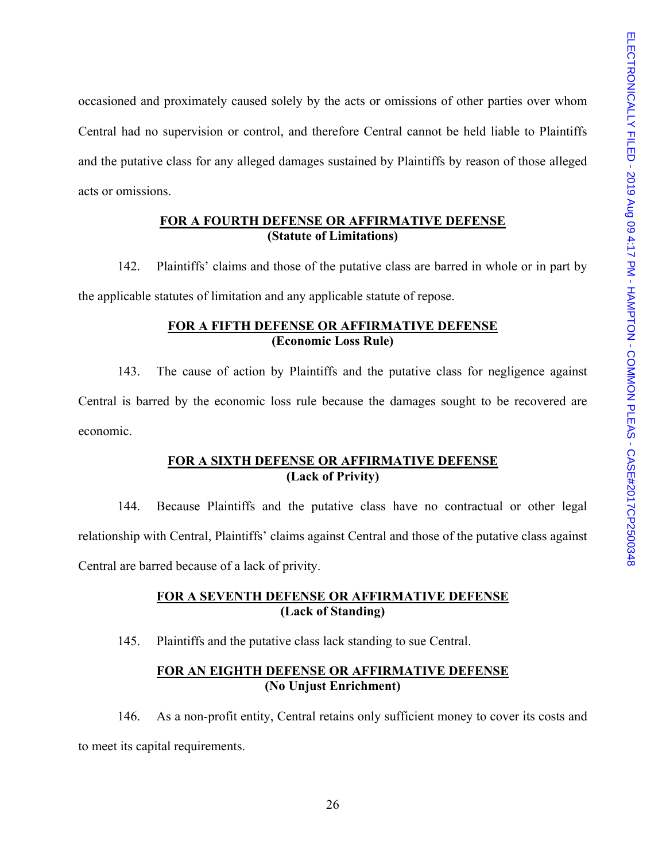occasioned and proximately caused solely by the acts or omissions of other parties over whom Central had no supervision or control, and therefore Central cannot be held liable to Plaintiffs and the putative class for any alleged damages sustained by Plaintiffs by reason of those alleged acts or omissions.

### **FOR A FOURTH DEFENSE OR AFFIRMATIVE DEFENSE (Statute of Limitations)**

142. Plaintiffs' claims and those of the putative class are barred in whole or in part by the applicable statutes of limitation and any applicable statute of repose.

## **FOR A FIFTH DEFENSE OR AFFIRMATIVE DEFENSE (Economic Loss Rule)**

143. The cause of action by Plaintiffs and the putative class for negligence against Central is barred by the economic loss rule because the damages sought to be recovered are economic.

## **FOR A SIXTH DEFENSE OR AFFIRMATIVE DEFENSE (Lack of Privity)**

144. Because Plaintiffs and the putative class have no contractual or other legal relationship with Central, Plaintiffs' claims against Central and those of the putative class against Central are barred because of a lack of privity.

## **FOR A SEVENTH DEFENSE OR AFFIRMATIVE DEFENSE (Lack of Standing)**

145. Plaintiffs and the putative class lack standing to sue Central.

## **FOR AN EIGHTH DEFENSE OR AFFIRMATIVE DEFENSE (No Unjust Enrichment)**

146. As a non-profit entity, Central retains only sufficient money to cover its costs and to meet its capital requirements.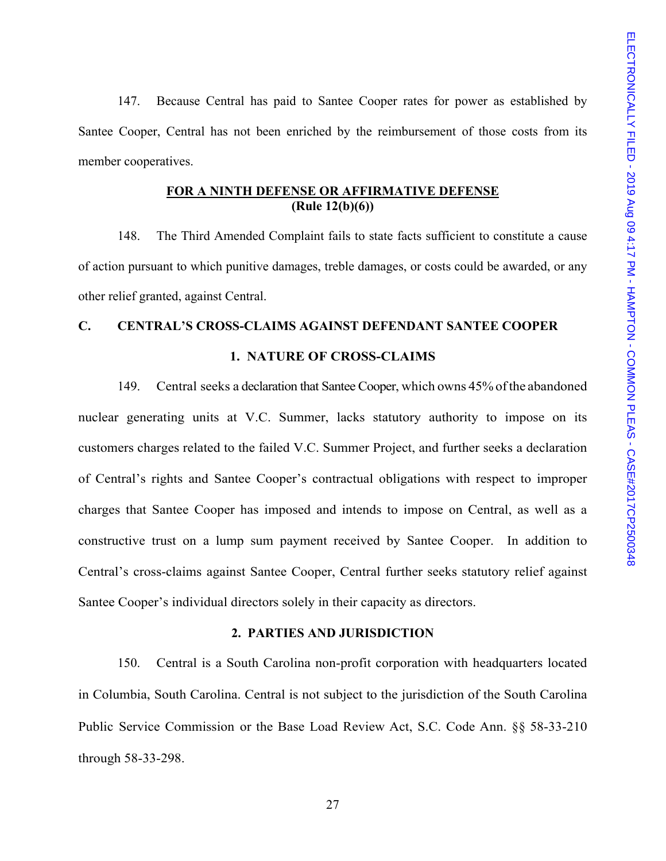147. Because Central has paid to Santee Cooper rates for power as established by Santee Cooper, Central has not been enriched by the reimbursement of those costs from its member cooperatives.

### **FOR A NINTH DEFENSE OR AFFIRMATIVE DEFENSE (Rule 12(b)(6))**

148. The Third Amended Complaint fails to state facts sufficient to constitute a cause of action pursuant to which punitive damages, treble damages, or costs could be awarded, or any other relief granted, against Central.

# **C. CENTRAL'S CROSS-CLAIMS AGAINST DEFENDANT SANTEE COOPER 1. NATURE OF CROSS-CLAIMS**

149. Central seeks a declaration that Santee Cooper, which owns 45% of the abandoned nuclear generating units at V.C. Summer, lacks statutory authority to impose on its customers charges related to the failed V.C. Summer Project, and further seeks a declaration of Central's rights and Santee Cooper's contractual obligations with respect to improper charges that Santee Cooper has imposed and intends to impose on Central, as well as a constructive trust on a lump sum payment received by Santee Cooper. In addition to Central's cross-claims against Santee Cooper, Central further seeks statutory relief against Santee Cooper's individual directors solely in their capacity as directors.

### **2. PARTIES AND JURISDICTION**

150. Central is a South Carolina non-profit corporation with headquarters located in Columbia, South Carolina. Central is not subject to the jurisdiction of the South Carolina Public Service Commission or the Base Load Review Act, S.C. Code Ann. §§ 58-33-210 through 58-33-298.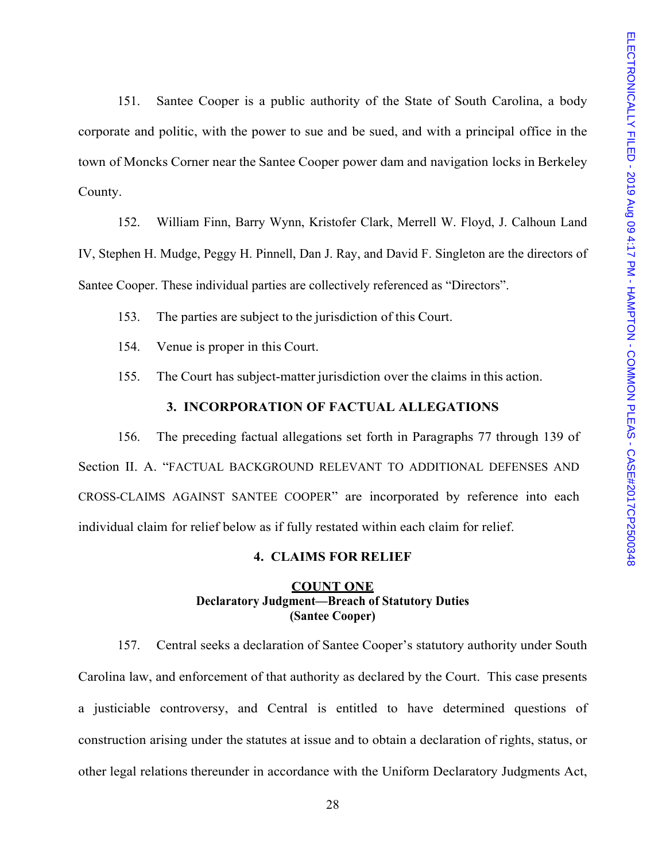151. Santee Cooper is a public authority of the State of South Carolina, a body corporate and politic, with the power to sue and be sued, and with a principal office in the town of Moncks Corner near the Santee Cooper power dam and navigation locks in Berkeley County.

152. William Finn, Barry Wynn, Kristofer Clark, Merrell W. Floyd, J. Calhoun Land IV, Stephen H. Mudge, Peggy H. Pinnell, Dan J. Ray, and David F. Singleton are the directors of Santee Cooper. These individual parties are collectively referenced as "Directors".

153. The parties are subject to the jurisdiction of this Court.

- 154. Venue is proper in this Court.
- 155. The Court has subject-matter jurisdiction over the claims in this action.

### **3. INCORPORATION OF FACTUAL ALLEGATIONS**

156. The preceding factual allegations set forth in Paragraphs 77 through 139 of Section II. A. "FACTUAL BACKGROUND RELEVANT TO ADDITIONAL DEFENSES AND CROSS-CLAIMS AGAINST SANTEE COOPER" are incorporated by reference into each individual claim for relief below as if fully restated within each claim for relief.

### **4. CLAIMS FOR RELIEF**

### **COUNT ONE Declaratory Judgment—Breach of Statutory Duties (Santee Cooper)**

157. Central seeks a declaration of Santee Cooper's statutory authority under South Carolina law, and enforcement of that authority as declared by the Court. This case presents a justiciable controversy, and Central is entitled to have determined questions of construction arising under the statutes at issue and to obtain a declaration of rights, status, or other legal relations thereunder in accordance with the Uniform Declaratory Judgments Act,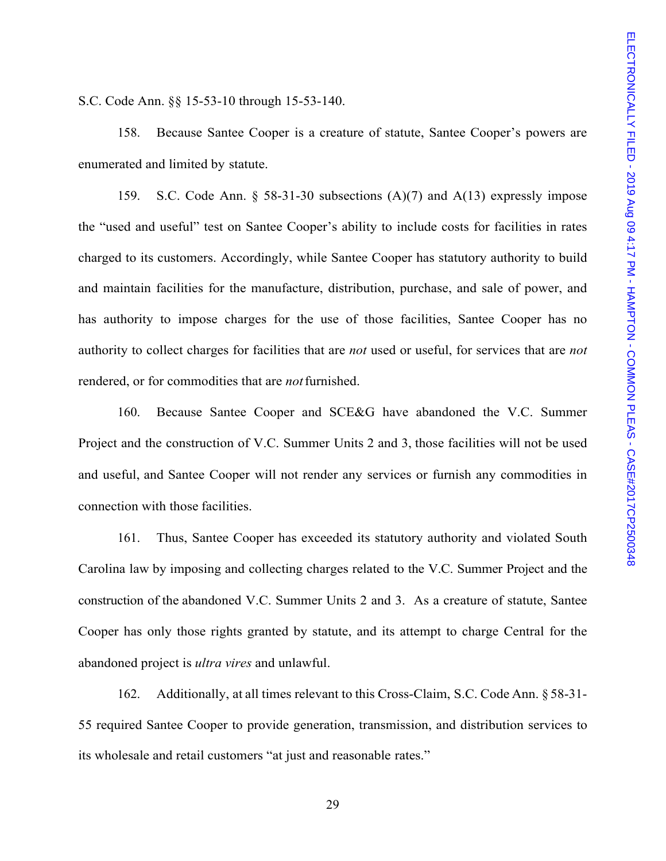S.C. Code Ann. §§ 15-53-10 through 15-53-140.

158. Because Santee Cooper is a creature of statute, Santee Cooper's powers are enumerated and limited by statute.

159. S.C. Code Ann. § 58-31-30 subsections (A)(7) and A(13) expressly impose the "used and useful" test on Santee Cooper's ability to include costs for facilities in rates charged to its customers. Accordingly, while Santee Cooper has statutory authority to build and maintain facilities for the manufacture, distribution, purchase, and sale of power, and has authority to impose charges for the use of those facilities, Santee Cooper has no authority to collect charges for facilities that are *not* used or useful, for services that are *not*  rendered, or for commodities that are *not* furnished.

160. Because Santee Cooper and SCE&G have abandoned the V.C. Summer Project and the construction of V.C. Summer Units 2 and 3, those facilities will not be used and useful, and Santee Cooper will not render any services or furnish any commodities in connection with those facilities.

161. Thus, Santee Cooper has exceeded its statutory authority and violated South Carolina law by imposing and collecting charges related to the V.C. Summer Project and the construction of the abandoned V.C. Summer Units 2 and 3. As a creature of statute, Santee Cooper has only those rights granted by statute, and its attempt to charge Central for the abandoned project is *ultra vires* and unlawful.

162. Additionally, at all times relevant to this Cross-Claim, S.C. Code Ann. § 58-31- 55 required Santee Cooper to provide generation, transmission, and distribution services to its wholesale and retail customers "at just and reasonable rates."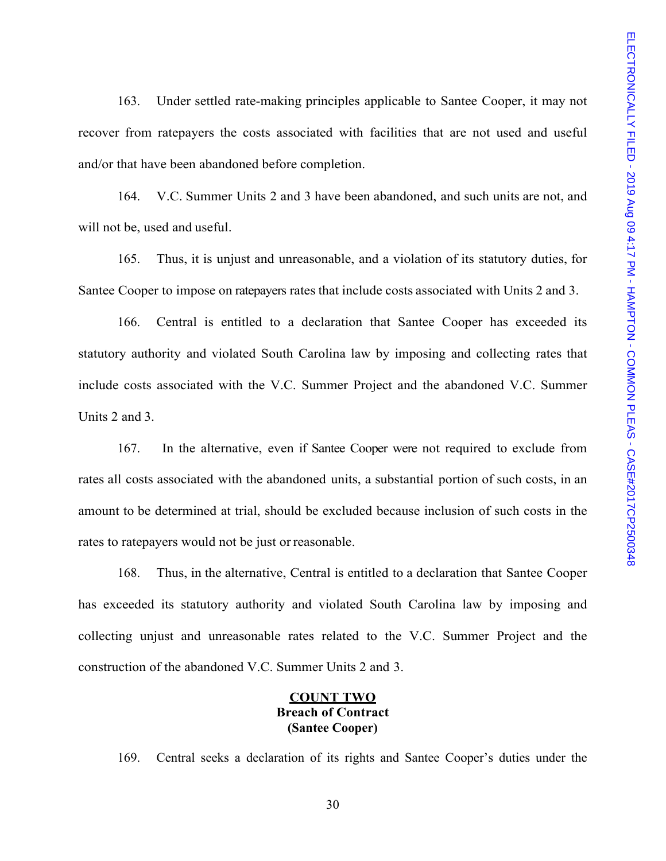163. Under settled rate-making principles applicable to Santee Cooper, it may not recover from ratepayers the costs associated with facilities that are not used and useful and/or that have been abandoned before completion.

164. V.C. Summer Units 2 and 3 have been abandoned, and such units are not, and will not be, used and useful.

165. Thus, it is unjust and unreasonable, and a violation of its statutory duties, for Santee Cooper to impose on ratepayers rates that include costs associated with Units 2 and 3.

166. Central is entitled to a declaration that Santee Cooper has exceeded its statutory authority and violated South Carolina law by imposing and collecting rates that include costs associated with the V.C. Summer Project and the abandoned V.C. Summer Units 2 and 3.

167. In the alternative, even if Santee Cooper were not required to exclude from rates all costs associated with the abandoned units, a substantial portion of such costs, in an amount to be determined at trial, should be excluded because inclusion of such costs in the rates to ratepayers would not be just or reasonable.

168. Thus, in the alternative, Central is entitled to a declaration that Santee Cooper has exceeded its statutory authority and violated South Carolina law by imposing and collecting unjust and unreasonable rates related to the V.C. Summer Project and the construction of the abandoned V.C. Summer Units 2 and 3.

## **COUNT TWO Breach of Contract (Santee Cooper)**

169. Central seeks a declaration of its rights and Santee Cooper's duties under the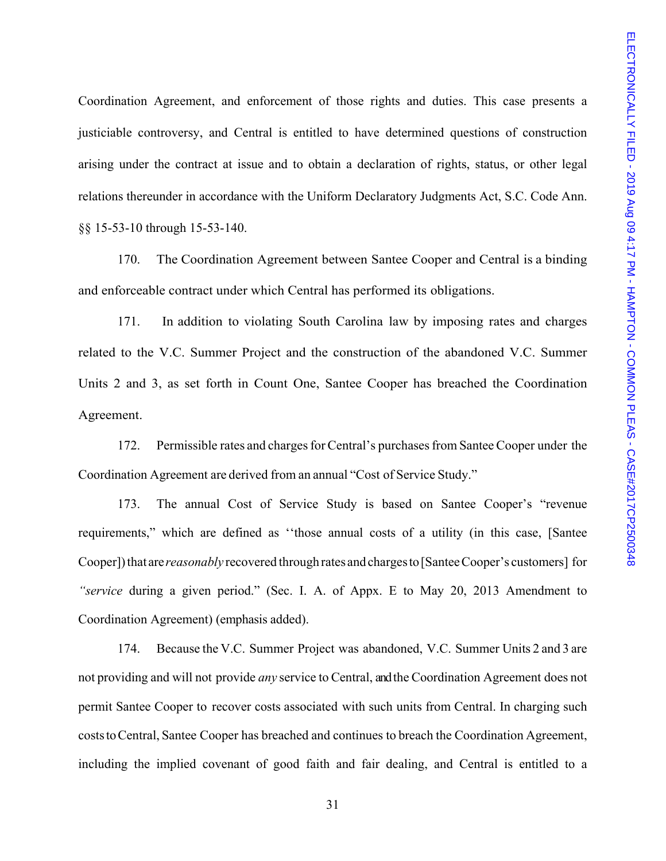Coordination Agreement, and enforcement of those rights and duties. This case presents a justiciable controversy, and Central is entitled to have determined questions of construction arising under the contract at issue and to obtain a declaration of rights, status, or other legal relations thereunder in accordance with the Uniform Declaratory Judgments Act, S.C. Code Ann. §§ 15-53-10 through 15-53-140.

170. The Coordination Agreement between Santee Cooper and Central is a binding and enforceable contract under which Central has performed its obligations.

171. In addition to violating South Carolina law by imposing rates and charges related to the V.C. Summer Project and the construction of the abandoned V.C. Summer Units 2 and 3, as set forth in Count One, Santee Cooper has breached the Coordination Agreement.

172. Permissible rates and charges for Central's purchases from Santee Cooper under the Coordination Agreement are derived from an annual "Cost of Service Study."

173. The annual Cost of Service Study is based on Santee Cooper's "revenue requirements," which are defined as ''those annual costs of a utility (in this case, [Santee Cooper]) that are *reasonably* recovered through rates and charges to [Santee Cooper's customers] for *"service* during a given period." (Sec. I. A. of Appx. E to May 20, 2013 Amendment to Coordination Agreement) (emphasis added).

174. Because the V.C. Summer Project was abandoned, V.C. Summer Units 2 and 3 are not providing and will not provide *any* service to Central, and the Coordination Agreement does not permit Santee Cooper to recover costs associated with such units from Central. In charging such costs to Central, Santee Cooper has breached and continues to breach the Coordination Agreement, including the implied covenant of good faith and fair dealing, and Central is entitled to a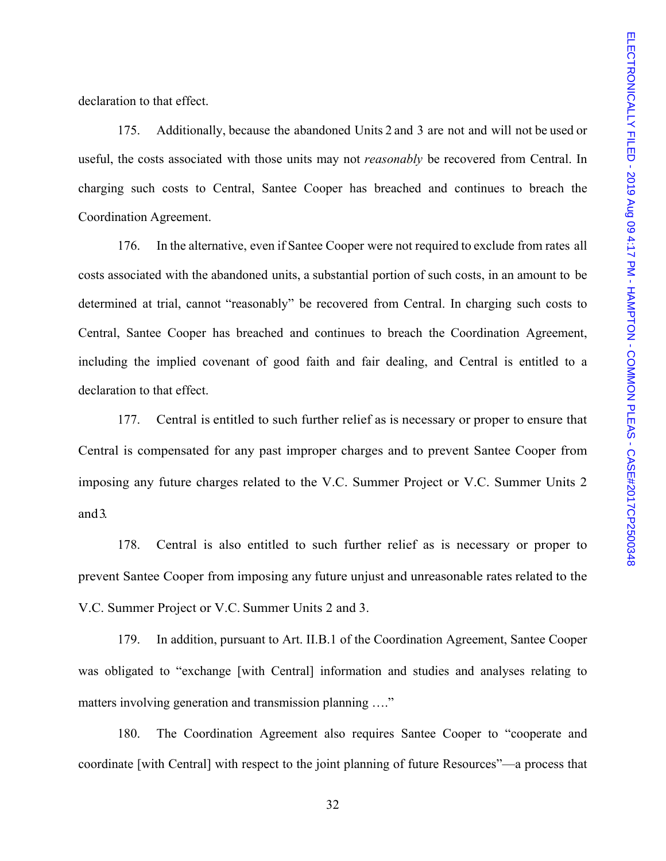declaration to that effect.

175. Additionally, because the abandoned Units 2 and 3 are not and will not be used or useful, the costs associated with those units may not *reasonably* be recovered from Central. In charging such costs to Central, Santee Cooper has breached and continues to breach the Coordination Agreement.

176. In the alternative, even if Santee Cooper were not required to exclude from rates all costs associated with the abandoned units, a substantial portion of such costs, in an amount to be determined at trial, cannot "reasonably" be recovered from Central. In charging such costs to Central, Santee Cooper has breached and continues to breach the Coordination Agreement, including the implied covenant of good faith and fair dealing, and Central is entitled to a declaration to that effect.

177. Central is entitled to such further relief as is necessary or proper to ensure that Central is compensated for any past improper charges and to prevent Santee Cooper from imposing any future charges related to the V.C. Summer Project or V.C. Summer Units 2 and 3.

178. Central is also entitled to such further relief as is necessary or proper to prevent Santee Cooper from imposing any future unjust and unreasonable rates related to the V.C. Summer Project or V.C. Summer Units 2 and 3.

179. In addition, pursuant to Art. II.B.1 of the Coordination Agreement, Santee Cooper was obligated to "exchange [with Central] information and studies and analyses relating to matters involving generation and transmission planning ...."

180. The Coordination Agreement also requires Santee Cooper to "cooperate and coordinate [with Central] with respect to the joint planning of future Resources"—a process that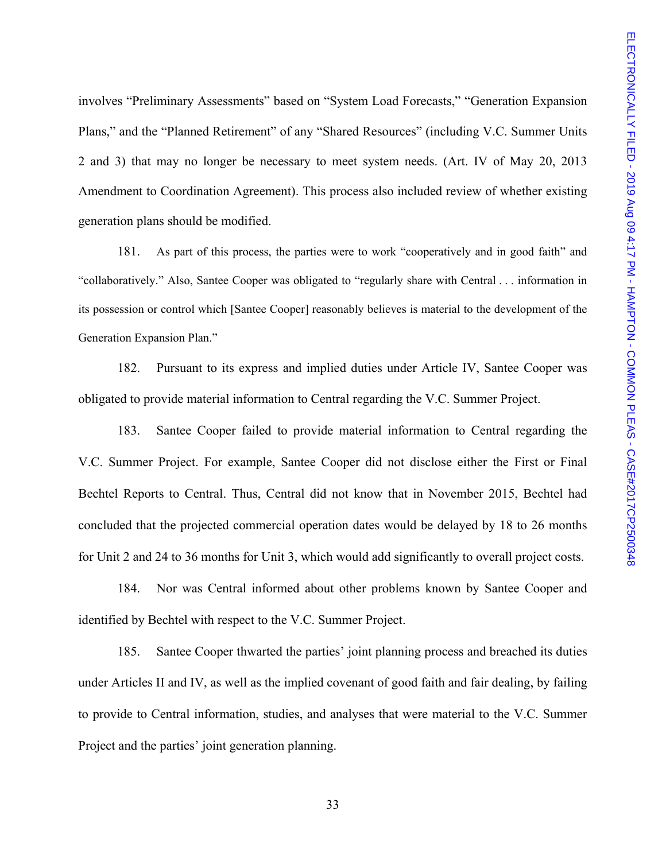involves "Preliminary Assessments" based on "System Load Forecasts," "Generation Expansion Plans," and the "Planned Retirement" of any "Shared Resources" (including V.C. Summer Units 2 and 3) that may no longer be necessary to meet system needs. (Art. IV of May 20, 2013 Amendment to Coordination Agreement). This process also included review of whether existing generation plans should be modified.

181. As part of this process, the parties were to work "cooperatively and in good faith" and "collaboratively." Also, Santee Cooper was obligated to "regularly share with Central . . . information in its possession or control which [Santee Cooper] reasonably believes is material to the development of the Generation Expansion Plan."

182. Pursuant to its express and implied duties under Article IV, Santee Cooper was obligated to provide material information to Central regarding the V.C. Summer Project.

183. Santee Cooper failed to provide material information to Central regarding the V.C. Summer Project. For example, Santee Cooper did not disclose either the First or Final Bechtel Reports to Central. Thus, Central did not know that in November 2015, Bechtel had concluded that the projected commercial operation dates would be delayed by 18 to 26 months for Unit 2 and 24 to 36 months for Unit 3, which would add significantly to overall project costs.

184. Nor was Central informed about other problems known by Santee Cooper and identified by Bechtel with respect to the V.C. Summer Project.

185. Santee Cooper thwarted the parties' joint planning process and breached its duties under Articles II and IV, as well as the implied covenant of good faith and fair dealing, by failing to provide to Central information, studies, and analyses that were material to the V.C. Summer Project and the parties' joint generation planning.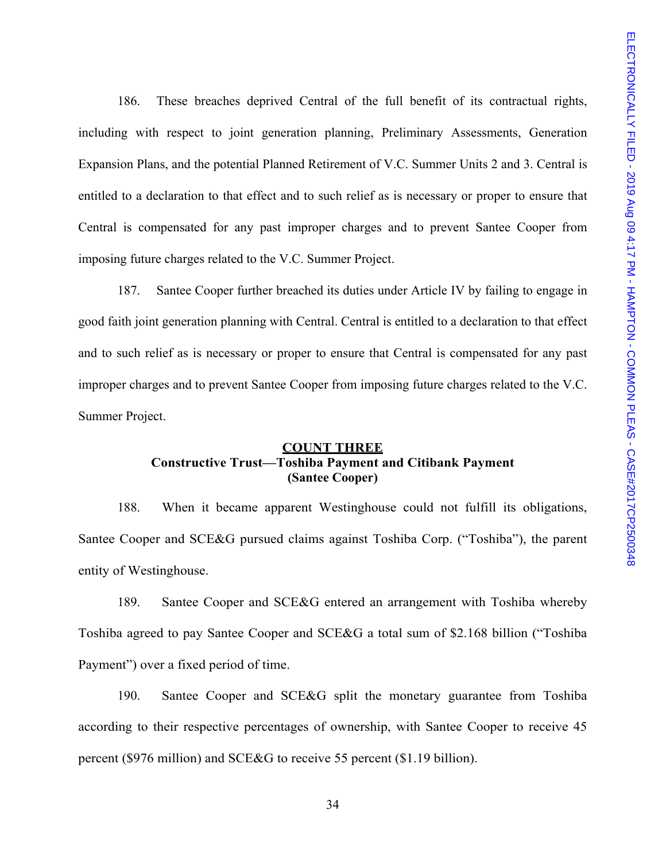186. These breaches deprived Central of the full benefit of its contractual rights, including with respect to joint generation planning, Preliminary Assessments, Generation Expansion Plans, and the potential Planned Retirement of V.C. Summer Units 2 and 3. Central is entitled to a declaration to that effect and to such relief as is necessary or proper to ensure that Central is compensated for any past improper charges and to prevent Santee Cooper from imposing future charges related to the V.C. Summer Project.

187. Santee Cooper further breached its duties under Article IV by failing to engage in good faith joint generation planning with Central. Central is entitled to a declaration to that effect and to such relief as is necessary or proper to ensure that Central is compensated for any past improper charges and to prevent Santee Cooper from imposing future charges related to the V.C. Summer Project.

## **COUNT THREE Constructive Trust—Toshiba Payment and Citibank Payment (Santee Cooper)**

188. When it became apparent Westinghouse could not fulfill its obligations, Santee Cooper and SCE&G pursued claims against Toshiba Corp. ("Toshiba"), the parent entity of Westinghouse.

189. Santee Cooper and SCE&G entered an arrangement with Toshiba whereby Toshiba agreed to pay Santee Cooper and SCE&G a total sum of \$2.168 billion ("Toshiba Payment") over a fixed period of time.

190. Santee Cooper and SCE&G split the monetary guarantee from Toshiba according to their respective percentages of ownership, with Santee Cooper to receive 45 percent (\$976 million) and SCE&G to receive 55 percent (\$1.19 billion).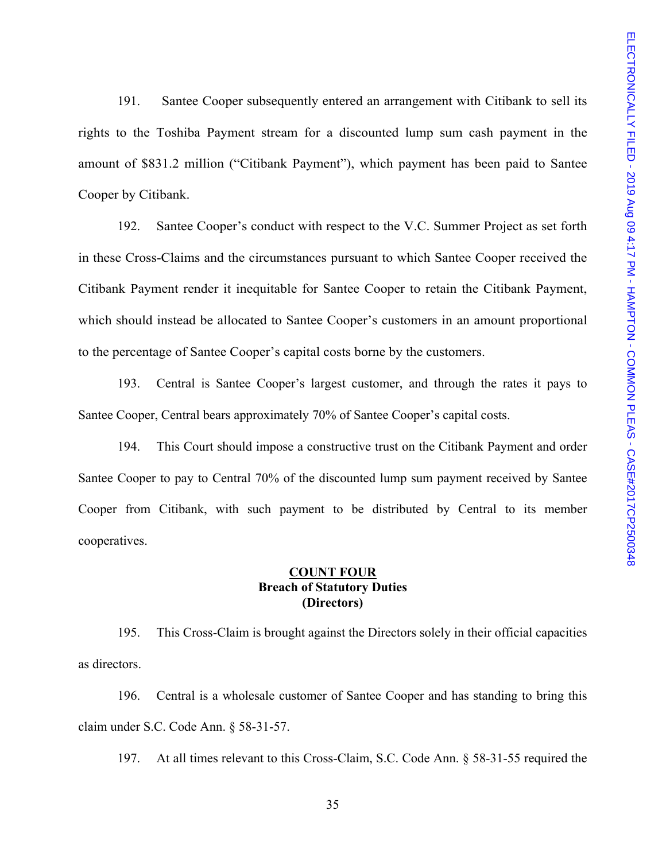191. Santee Cooper subsequently entered an arrangement with Citibank to sell its rights to the Toshiba Payment stream for a discounted lump sum cash payment in the amount of \$831.2 million ("Citibank Payment"), which payment has been paid to Santee Cooper by Citibank.

192. Santee Cooper's conduct with respect to the V.C. Summer Project as set forth in these Cross-Claims and the circumstances pursuant to which Santee Cooper received the Citibank Payment render it inequitable for Santee Cooper to retain the Citibank Payment, which should instead be allocated to Santee Cooper's customers in an amount proportional to the percentage of Santee Cooper's capital costs borne by the customers.

193. Central is Santee Cooper's largest customer, and through the rates it pays to Santee Cooper, Central bears approximately 70% of Santee Cooper's capital costs.

194. This Court should impose a constructive trust on the Citibank Payment and order Santee Cooper to pay to Central 70% of the discounted lump sum payment received by Santee Cooper from Citibank, with such payment to be distributed by Central to its member cooperatives.

## **COUNT FOUR Breach of Statutory Duties (Directors)**

195. This Cross-Claim is brought against the Directors solely in their official capacities as directors.

196. Central is a wholesale customer of Santee Cooper and has standing to bring this claim under S.C. Code Ann. § 58-31-57.

197. At all times relevant to this Cross-Claim, S.C. Code Ann. § 58-31-55 required the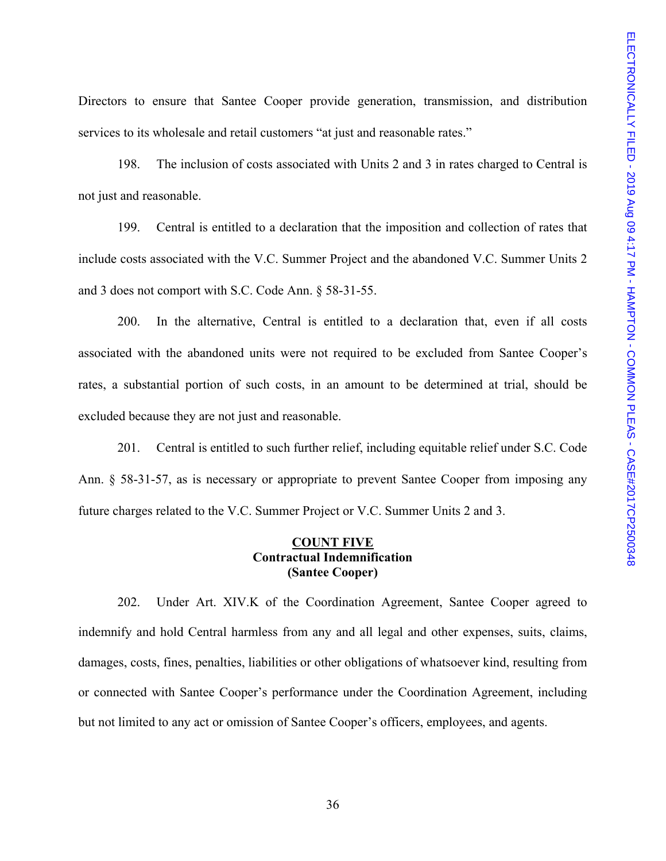Directors to ensure that Santee Cooper provide generation, transmission, and distribution services to its wholesale and retail customers "at just and reasonable rates."

198. The inclusion of costs associated with Units 2 and 3 in rates charged to Central is not just and reasonable.

199. Central is entitled to a declaration that the imposition and collection of rates that include costs associated with the V.C. Summer Project and the abandoned V.C. Summer Units 2 and 3 does not comport with S.C. Code Ann. § 58-31-55.

200. In the alternative, Central is entitled to a declaration that, even if all costs associated with the abandoned units were not required to be excluded from Santee Cooper's rates, a substantial portion of such costs, in an amount to be determined at trial, should be excluded because they are not just and reasonable.

201. Central is entitled to such further relief, including equitable relief under S.C. Code Ann. § 58-31-57, as is necessary or appropriate to prevent Santee Cooper from imposing any future charges related to the V.C. Summer Project or V.C. Summer Units 2 and 3.

### **COUNT FIVE Contractual Indemnification (Santee Cooper)**

202. Under Art. XIV.K of the Coordination Agreement, Santee Cooper agreed to indemnify and hold Central harmless from any and all legal and other expenses, suits, claims, damages, costs, fines, penalties, liabilities or other obligations of whatsoever kind, resulting from or connected with Santee Cooper's performance under the Coordination Agreement, including but not limited to any act or omission of Santee Cooper's officers, employees, and agents.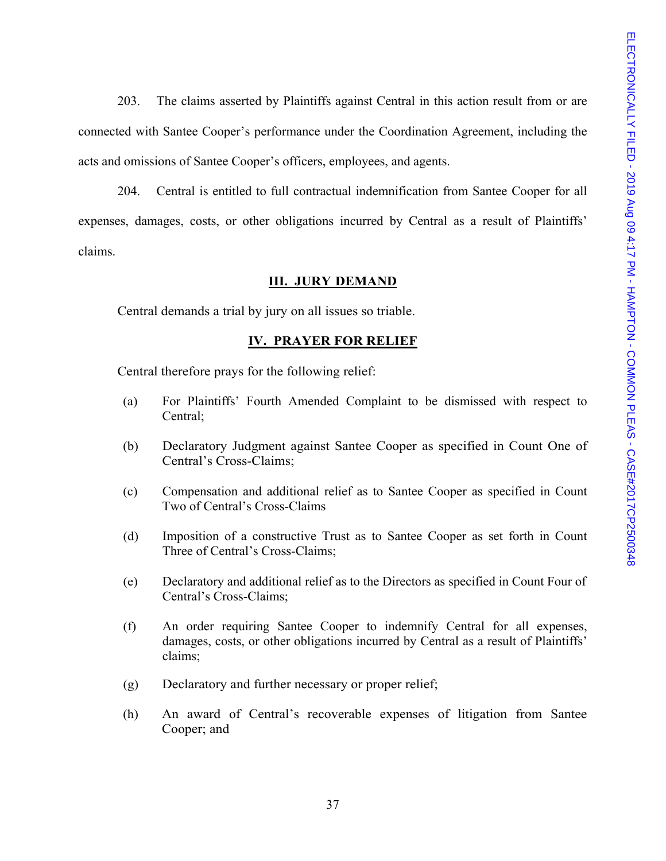203. The claims asserted by Plaintiffs against Central in this action result from or are connected with Santee Cooper's performance under the Coordination Agreement, including the acts and omissions of Santee Cooper's officers, employees, and agents.

204. Central is entitled to full contractual indemnification from Santee Cooper for all expenses, damages, costs, or other obligations incurred by Central as a result of Plaintiffs' claims.

### **III. JURY DEMAND**

Central demands a trial by jury on all issues so triable.

### **IV. PRAYER FOR RELIEF**

Central therefore prays for the following relief:

- (a) For Plaintiffs' Fourth Amended Complaint to be dismissed with respect to Central;
- (b) Declaratory Judgment against Santee Cooper as specified in Count One of Central's Cross-Claims;
- (c) Compensation and additional relief as to Santee Cooper as specified in Count Two of Central's Cross-Claims
- (d) Imposition of a constructive Trust as to Santee Cooper as set forth in Count Three of Central's Cross-Claims;
- (e) Declaratory and additional relief as to the Directors as specified in Count Four of Central's Cross-Claims;
- (f) An order requiring Santee Cooper to indemnify Central for all expenses, damages, costs, or other obligations incurred by Central as a result of Plaintiffs' claims;
- (g) Declaratory and further necessary or proper relief;
- (h) An award of Central's recoverable expenses of litigation from Santee Cooper; and